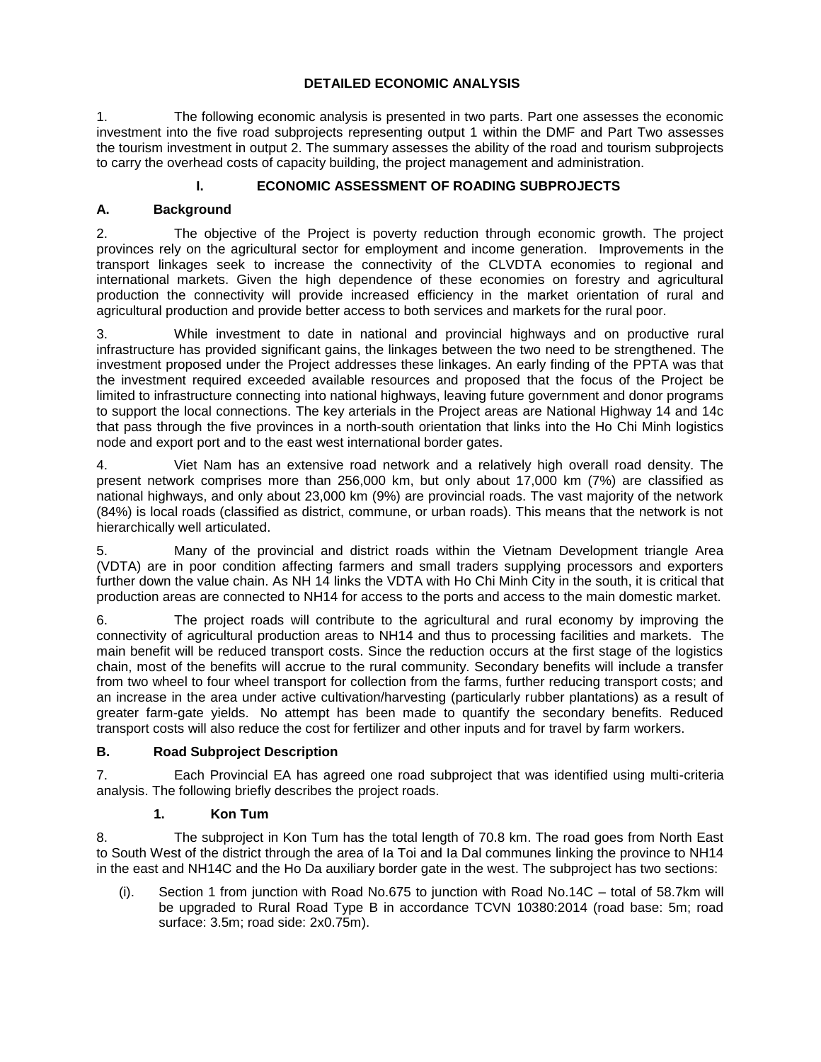# **DETAILED ECONOMIC ANALYSIS**

1. The following economic analysis is presented in two parts. Part one assesses the economic investment into the five road subprojects representing output 1 within the DMF and Part Two assesses the tourism investment in output 2. The summary assesses the ability of the road and tourism subprojects to carry the overhead costs of capacity building, the project management and administration.

#### **I. ECONOMIC ASSESSMENT OF ROADING SUBPROJECTS**

## **A. Background**

2. The objective of the Project is poverty reduction through economic growth. The project provinces rely on the agricultural sector for employment and income generation. Improvements in the transport linkages seek to increase the connectivity of the CLVDTA economies to regional and international markets. Given the high dependence of these economies on forestry and agricultural production the connectivity will provide increased efficiency in the market orientation of rural and agricultural production and provide better access to both services and markets for the rural poor.

3. While investment to date in national and provincial highways and on productive rural infrastructure has provided significant gains, the linkages between the two need to be strengthened. The investment proposed under the Project addresses these linkages. An early finding of the PPTA was that the investment required exceeded available resources and proposed that the focus of the Project be limited to infrastructure connecting into national highways, leaving future government and donor programs to support the local connections. The key arterials in the Project areas are National Highway 14 and 14c that pass through the five provinces in a north-south orientation that links into the Ho Chi Minh logistics node and export port and to the east west international border gates.

4. Viet Nam has an extensive road network and a relatively high overall road density. The present network comprises more than 256,000 km, but only about 17,000 km (7%) are classified as national highways, and only about 23,000 km (9%) are provincial roads. The vast majority of the network (84%) is local roads (classified as district, commune, or urban roads). This means that the network is not hierarchically well articulated.

5. Many of the provincial and district roads within the Vietnam Development triangle Area (VDTA) are in poor condition affecting farmers and small traders supplying processors and exporters further down the value chain. As NH 14 links the VDTA with Ho Chi Minh City in the south, it is critical that production areas are connected to NH14 for access to the ports and access to the main domestic market.

6. The project roads will contribute to the agricultural and rural economy by improving the connectivity of agricultural production areas to NH14 and thus to processing facilities and markets. The main benefit will be reduced transport costs. Since the reduction occurs at the first stage of the logistics chain, most of the benefits will accrue to the rural community. Secondary benefits will include a transfer from two wheel to four wheel transport for collection from the farms, further reducing transport costs; and an increase in the area under active cultivation/harvesting (particularly rubber plantations) as a result of greater farm-gate yields. No attempt has been made to quantify the secondary benefits. Reduced transport costs will also reduce the cost for fertilizer and other inputs and for travel by farm workers.

## **B. Road Subproject Description**

7. Each Provincial EA has agreed one road subproject that was identified using multi-criteria analysis. The following briefly describes the project roads.

## **1. Kon Tum**

8. The subproject in Kon Tum has the total length of 70.8 km. The road goes from North East to South West of the district through the area of Ia Toi and Ia Dal communes linking the province to NH14 in the east and NH14C and the Ho Da auxiliary border gate in the west. The subproject has two sections:

(i). Section 1 from junction with Road No.675 to junction with Road No.14C – total of 58.7km will be upgraded to Rural Road Type B in accordance TCVN 10380:2014 (road base: 5m; road surface: 3.5m; road side: 2x0.75m).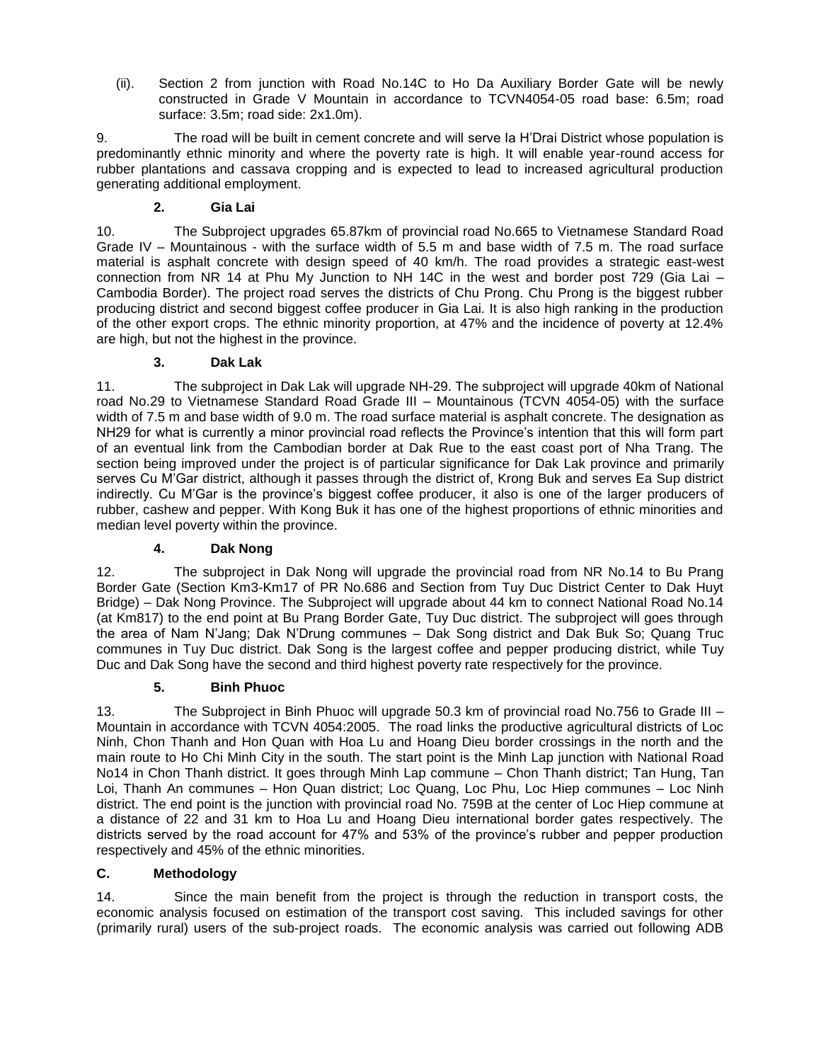(ii). Section 2 from junction with Road No.14C to Ho Da Auxiliary Border Gate will be newly constructed in Grade V Mountain in accordance to TCVN4054-05 road base: 6.5m; road surface: 3.5m; road side: 2x1.0m).

9. The road will be built in cement concrete and will serve Ia H'Drai District whose population is predominantly ethnic minority and where the poverty rate is high. It will enable year-round access for rubber plantations and cassava cropping and is expected to lead to increased agricultural production generating additional employment.

# **2. Gia Lai**

10. The Subproject upgrades 65.87km of provincial road No.665 to Vietnamese Standard Road Grade IV – Mountainous - with the surface width of 5.5 m and base width of 7.5 m. The road surface material is asphalt concrete with design speed of 40 km/h. The road provides a strategic east-west connection from NR 14 at Phu My Junction to NH 14C in the west and border post 729 (Gia Lai – Cambodia Border). The project road serves the districts of Chu Prong. Chu Prong is the biggest rubber producing district and second biggest coffee producer in Gia Lai. It is also high ranking in the production of the other export crops. The ethnic minority proportion, at 47% and the incidence of poverty at 12.4% are high, but not the highest in the province.

# **3. Dak Lak**

11. The subproject in Dak Lak will upgrade NH-29. The subproject will upgrade 40km of National road No.29 to Vietnamese Standard Road Grade III – Mountainous (TCVN 4054-05) with the surface width of 7.5 m and base width of 9.0 m. The road surface material is asphalt concrete. The designation as NH29 for what is currently a minor provincial road reflects the Province's intention that this will form part of an eventual link from the Cambodian border at Dak Rue to the east coast port of Nha Trang. The section being improved under the project is of particular significance for Dak Lak province and primarily serves Cu M'Gar district, although it passes through the district of, Krong Buk and serves Ea Sup district indirectly. Cu M'Gar is the province's biggest coffee producer, it also is one of the larger producers of rubber, cashew and pepper. With Kong Buk it has one of the highest proportions of ethnic minorities and median level poverty within the province.

## **4. Dak Nong**

12. The subproject in Dak Nong will upgrade the provincial road from NR No.14 to Bu Prang Border Gate (Section Km3-Km17 of PR No.686 and Section from Tuy Duc District Center to Dak Huyt Bridge) – Dak Nong Province. The Subproject will upgrade about 44 km to connect National Road No.14 (at Km817) to the end point at Bu Prang Border Gate, Tuy Duc district. The subproject will goes through the area of Nam N'Jang; Dak N'Drung communes – Dak Song district and Dak Buk So; Quang Truc communes in Tuy Duc district. Dak Song is the largest coffee and pepper producing district, while Tuy Duc and Dak Song have the second and third highest poverty rate respectively for the province.

## **5. Binh Phuoc**

13. The Subproject in Binh Phuoc will upgrade 50.3 km of provincial road No.756 to Grade III – Mountain in accordance with TCVN 4054:2005. The road links the productive agricultural districts of Loc Ninh, Chon Thanh and Hon Quan with Hoa Lu and Hoang Dieu border crossings in the north and the main route to Ho Chi Minh City in the south. The start point is the Minh Lap junction with National Road No14 in Chon Thanh district. It goes through Minh Lap commune – Chon Thanh district; Tan Hung, Tan Loi, Thanh An communes – Hon Quan district; Loc Quang, Loc Phu, Loc Hiep communes – Loc Ninh district. The end point is the junction with provincial road No. 759B at the center of Loc Hiep commune at a distance of 22 and 31 km to Hoa Lu and Hoang Dieu international border gates respectively. The districts served by the road account for 47% and 53% of the province's rubber and pepper production respectively and 45% of the ethnic minorities.

## **C. Methodology**

14. Since the main benefit from the project is through the reduction in transport costs, the economic analysis focused on estimation of the transport cost saving. This included savings for other (primarily rural) users of the sub-project roads. The economic analysis was carried out following ADB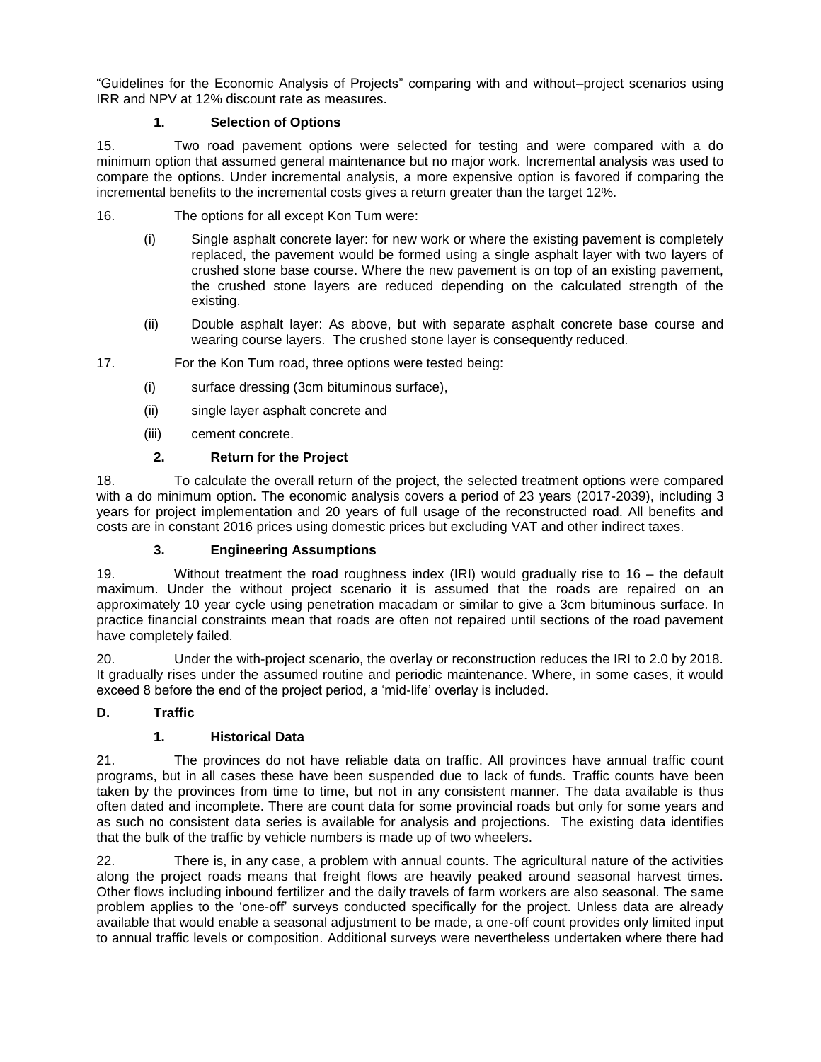"Guidelines for the Economic Analysis of Projects" comparing with and without–project scenarios using IRR and NPV at 12% discount rate as measures.

## **1. Selection of Options**

15. Two road pavement options were selected for testing and were compared with a do minimum option that assumed general maintenance but no major work. Incremental analysis was used to compare the options. Under incremental analysis, a more expensive option is favored if comparing the incremental benefits to the incremental costs gives a return greater than the target 12%.

## 16. The options for all except Kon Tum were:

- (i) Single asphalt concrete layer: for new work or where the existing pavement is completely replaced, the pavement would be formed using a single asphalt layer with two layers of crushed stone base course. Where the new pavement is on top of an existing pavement, the crushed stone layers are reduced depending on the calculated strength of the existing.
- (ii) Double asphalt layer: As above, but with separate asphalt concrete base course and wearing course layers. The crushed stone layer is consequently reduced.
- 17. For the Kon Tum road, three options were tested being:
	- (i) surface dressing (3cm bituminous surface),
	- (ii) single layer asphalt concrete and
	- (iii) cement concrete.

#### **2. Return for the Project**

18. To calculate the overall return of the project, the selected treatment options were compared with a do minimum option. The economic analysis covers a period of 23 years (2017-2039), including 3 years for project implementation and 20 years of full usage of the reconstructed road. All benefits and costs are in constant 2016 prices using domestic prices but excluding VAT and other indirect taxes.

## **3. Engineering Assumptions**

19. Without treatment the road roughness index (IRI) would gradually rise to 16 – the default maximum. Under the without project scenario it is assumed that the roads are repaired on an approximately 10 year cycle using penetration macadam or similar to give a 3cm bituminous surface. In practice financial constraints mean that roads are often not repaired until sections of the road pavement have completely failed.

20. Under the with-project scenario, the overlay or reconstruction reduces the IRI to 2.0 by 2018. It gradually rises under the assumed routine and periodic maintenance. Where, in some cases, it would exceed 8 before the end of the project period, a 'mid-life' overlay is included.

## **D. Traffic**

## **1. Historical Data**

21. The provinces do not have reliable data on traffic. All provinces have annual traffic count programs, but in all cases these have been suspended due to lack of funds. Traffic counts have been taken by the provinces from time to time, but not in any consistent manner. The data available is thus often dated and incomplete. There are count data for some provincial roads but only for some years and as such no consistent data series is available for analysis and projections. The existing data identifies that the bulk of the traffic by vehicle numbers is made up of two wheelers.

22. There is, in any case, a problem with annual counts. The agricultural nature of the activities along the project roads means that freight flows are heavily peaked around seasonal harvest times. Other flows including inbound fertilizer and the daily travels of farm workers are also seasonal. The same problem applies to the 'one-off' surveys conducted specifically for the project. Unless data are already available that would enable a seasonal adjustment to be made, a one-off count provides only limited input to annual traffic levels or composition. Additional surveys were nevertheless undertaken where there had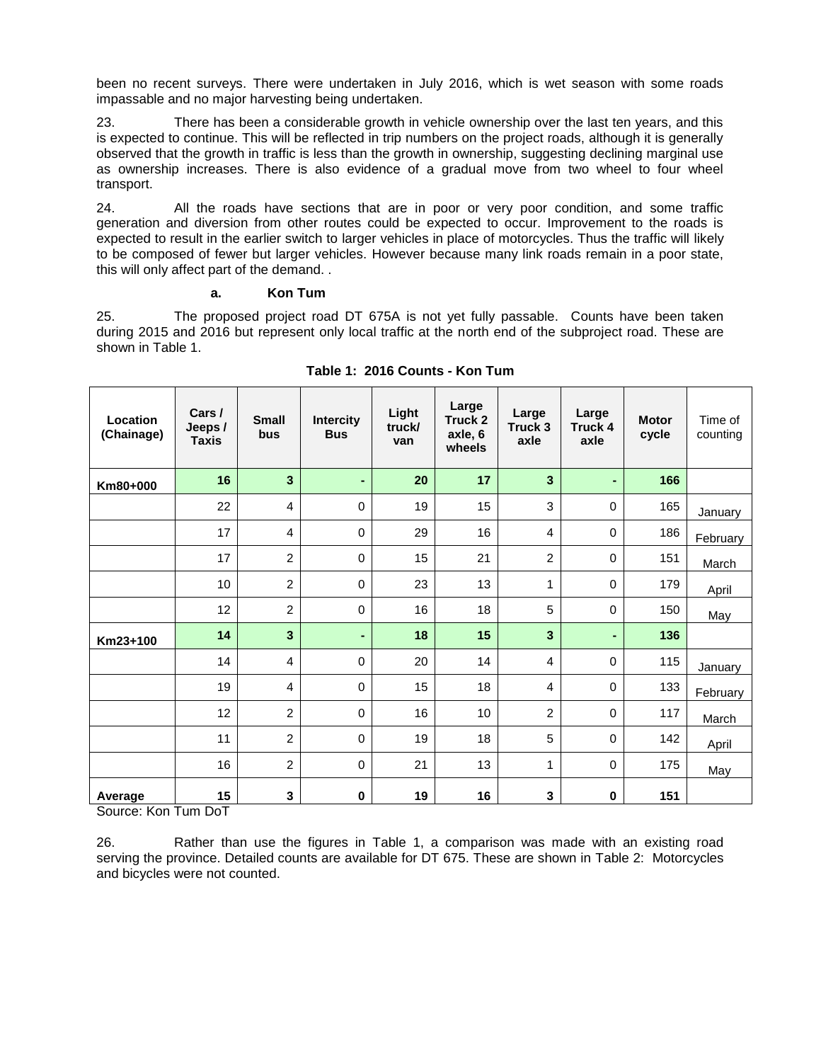been no recent surveys. There were undertaken in July 2016, which is wet season with some roads impassable and no major harvesting being undertaken.

23. There has been a considerable growth in vehicle ownership over the last ten years, and this is expected to continue. This will be reflected in trip numbers on the project roads, although it is generally observed that the growth in traffic is less than the growth in ownership, suggesting declining marginal use as ownership increases. There is also evidence of a gradual move from two wheel to four wheel transport.

24. All the roads have sections that are in poor or very poor condition, and some traffic generation and diversion from other routes could be expected to occur. Improvement to the roads is expected to result in the earlier switch to larger vehicles in place of motorcycles. Thus the traffic will likely to be composed of fewer but larger vehicles. However because many link roads remain in a poor state, this will only affect part of the demand. .

#### **a. Kon Tum**

25. The proposed project road DT 675A is not yet fully passable. Counts have been taken during 2015 and 2016 but represent only local traffic at the north end of the subproject road. These are shown in [Table 1.](#page-3-0)

<span id="page-3-0"></span>

| Location<br>(Chainage) | Cars /<br>Jeeps /<br><b>Taxis</b> | <b>Small</b><br>bus     | <b>Intercity</b><br><b>Bus</b> | Light<br>truck/<br>van | Large<br>Truck 2<br>axle, 6<br>wheels | Large<br>Truck <sub>3</sub><br>axle | Large<br><b>Truck 4</b><br>axle | <b>Motor</b><br>cycle | Time of<br>counting |
|------------------------|-----------------------------------|-------------------------|--------------------------------|------------------------|---------------------------------------|-------------------------------------|---------------------------------|-----------------------|---------------------|
| Km80+000               | 16                                | $\overline{\mathbf{3}}$ | $\blacksquare$                 | 20                     | 17                                    | $\mathbf{3}$                        | ٠                               | 166                   |                     |
|                        | 22                                | $\overline{4}$          | 0                              | 19                     | 15                                    | 3                                   | $\Omega$                        | 165                   | January             |
|                        | 17                                | $\overline{4}$          | $\pmb{0}$                      | 29                     | 16                                    | $\overline{4}$                      | $\mathbf 0$                     | 186                   | February            |
|                        | 17                                | $\overline{2}$          | 0                              | 15                     | 21                                    | $\overline{2}$                      | $\mathbf 0$                     | 151                   | March               |
|                        | 10                                | $\overline{2}$          | 0                              | 23                     | 13                                    | 1                                   | $\mathbf 0$                     | 179                   | April               |
|                        | 12                                | $\overline{c}$          | 0                              | 16                     | 18                                    | 5                                   | 0                               | 150                   | May                 |
| Km23+100               | 14                                | $\mathbf{3}$            | $\blacksquare$                 | 18                     | 15                                    | $\mathbf{3}$                        | $\blacksquare$                  | 136                   |                     |
|                        | 14                                | $\overline{4}$          | 0                              | 20                     | 14                                    | $\overline{4}$                      | $\Omega$                        | 115                   | January             |
|                        | 19                                | $\overline{4}$          | 0                              | 15                     | 18                                    | $\overline{4}$                      | $\mathbf 0$                     | 133                   | February            |
|                        | 12                                | $\overline{c}$          | 0                              | 16                     | 10                                    | $\overline{2}$                      | $\mathbf 0$                     | 117                   | March               |
|                        | 11                                | $\overline{2}$          | 0                              | 19                     | 18                                    | 5                                   | 0                               | 142                   | April               |
|                        | 16                                | $\overline{c}$          | $\mathbf 0$                    | 21                     | 13                                    | $\mathbf{1}$                        | $\mathbf 0$                     | 175                   | May                 |
| Average                | 15                                | $\mathbf{3}$            | 0                              | 19                     | 16                                    | 3                                   | $\bf{0}$                        | 151                   |                     |

**Table 1: 2016 Counts - Kon Tum**

Source: Kon Tum DoT

26. Rather than use the figures in [Table 1,](#page-3-0) a comparison was made with an existing road serving the province. Detailed counts are available for DT 675. These are shown in [Table 2:](#page-4-0) Motorcycles and bicycles were not counted.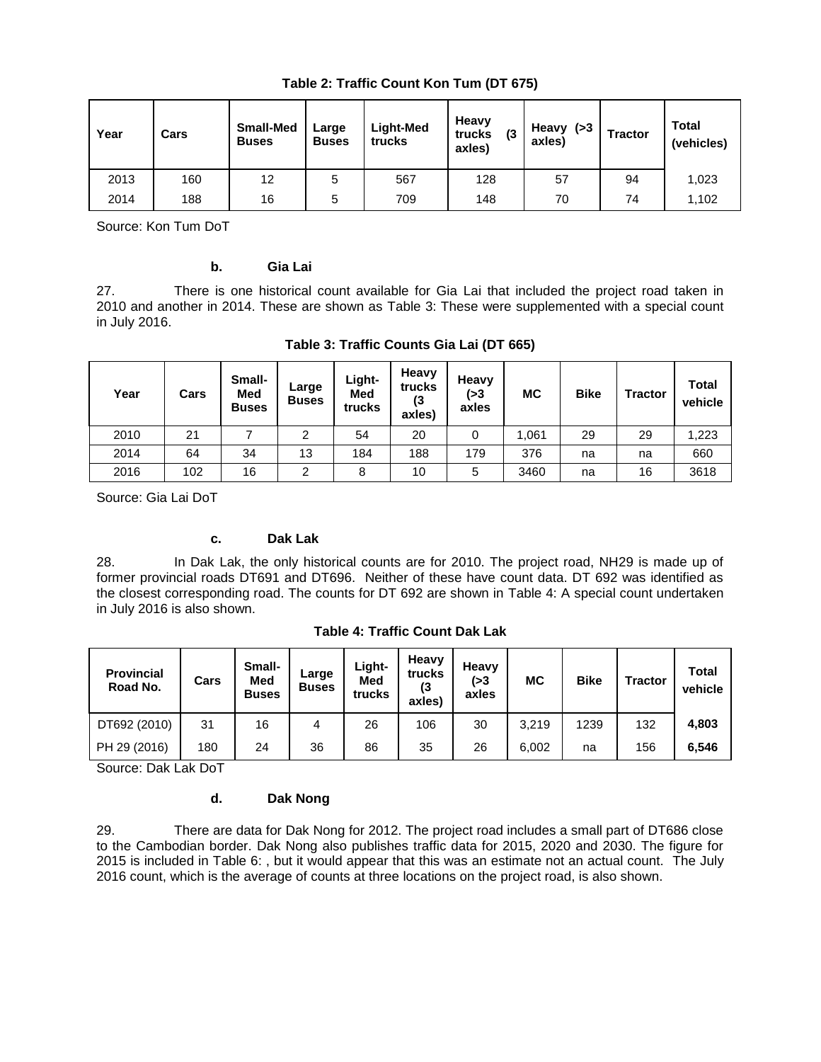<span id="page-4-0"></span>

| Year | Cars | <b>Small-Med</b><br><b>Buses</b> | Large<br><b>Buses</b> | <b>Light-Med</b><br>trucks | Heavy<br>(3)<br>trucks<br>axles) | Heavy (>3<br>axles) | <b>Tractor</b> | <b>Total</b><br>(vehicles) |
|------|------|----------------------------------|-----------------------|----------------------------|----------------------------------|---------------------|----------------|----------------------------|
| 2013 | 160  | 12                               | 5                     | 567                        | 128                              | 57                  | 94             | 1,023                      |
| 2014 | 188  | 16                               | 5                     | 709                        | 148                              | 70                  | 74             | 1,102                      |

**Table 2: Traffic Count Kon Tum (DT 675)**

Source: Kon Tum DoT

#### **b. Gia Lai**

27. There is one historical count available for Gia Lai that included the project road taken in 2010 and another in 2014. These are shown as [Table 3: T](#page-4-1)hese were supplemented with a special count in July 2016.

| Table 3: Traffic Counts Gia Lai (DT 665) |  |  |  |  |  |  |
|------------------------------------------|--|--|--|--|--|--|
|------------------------------------------|--|--|--|--|--|--|

<span id="page-4-1"></span>

| Year | Cars | Small-<br><b>Med</b><br><b>Buses</b> | Large<br><b>Buses</b> | Light-<br>Med<br>trucks | Heavy<br>trucks<br>(3<br>axles) | Heavy<br>(>3<br>axles | МC    | <b>Bike</b> | <b>Tractor</b> | <b>Total</b><br>vehicle |
|------|------|--------------------------------------|-----------------------|-------------------------|---------------------------------|-----------------------|-------|-------------|----------------|-------------------------|
| 2010 | 21   |                                      | ົ                     | 54                      | 20                              |                       | 1,061 | 29          | 29             | 1,223                   |
| 2014 | 64   | 34                                   | 13                    | 184                     | 188                             | 179                   | 376   | na          | na             | 660                     |
| 2016 | 102  | 16                                   | C                     | 8                       | 10                              | 5                     | 3460  | na          | 16             | 3618                    |

Source: Gia Lai DoT

#### **c. Dak Lak**

28. In Dak Lak, the only historical counts are for 2010. The project road, NH29 is made up of former provincial roads DT691 and DT696. Neither of these have count data. DT 692 was identified as the closest corresponding road. The counts for DT 692 are shown in [Table 4: A](#page-4-2) special count undertaken in July 2016 is also shown.

<span id="page-4-2"></span>

| <b>Provincial</b><br>Road No. | Cars | Small-<br>Med<br><b>Buses</b> | Large<br><b>Buses</b> | Light-<br>Med<br>trucks | <b>Heavy</b><br>trucks<br>(3<br>axles) | Heavy<br>(>3<br>axles | <b>MC</b> | <b>Bike</b> | <b>Tractor</b> | Total<br>vehicle |
|-------------------------------|------|-------------------------------|-----------------------|-------------------------|----------------------------------------|-----------------------|-----------|-------------|----------------|------------------|
| DT692 (2010)                  | 31   | 16                            | 4                     | 26                      | 106                                    | 30                    | 3,219     | 1239        | 132            | 4,803            |
| PH 29 (2016)                  | 180  | 24                            | 36                    | 86                      | 35                                     | 26                    | 6,002     | na          | 156            | 6,546            |

**Table 4: Traffic Count Dak Lak** 

Source: Dak Lak DoT

#### **d. Dak Nong**

29. There are data for Dak Nong for 2012. The project road includes a small part of DT686 close to the Cambodian border. Dak Nong also publishes traffic data for 2015, 2020 and 2030. The figure for 2015 is included in [Table 6: ,](#page-5-0) but it would appear that this was an estimate not an actual count. The July 2016 count, which is the average of counts at three locations on the project road, is also shown.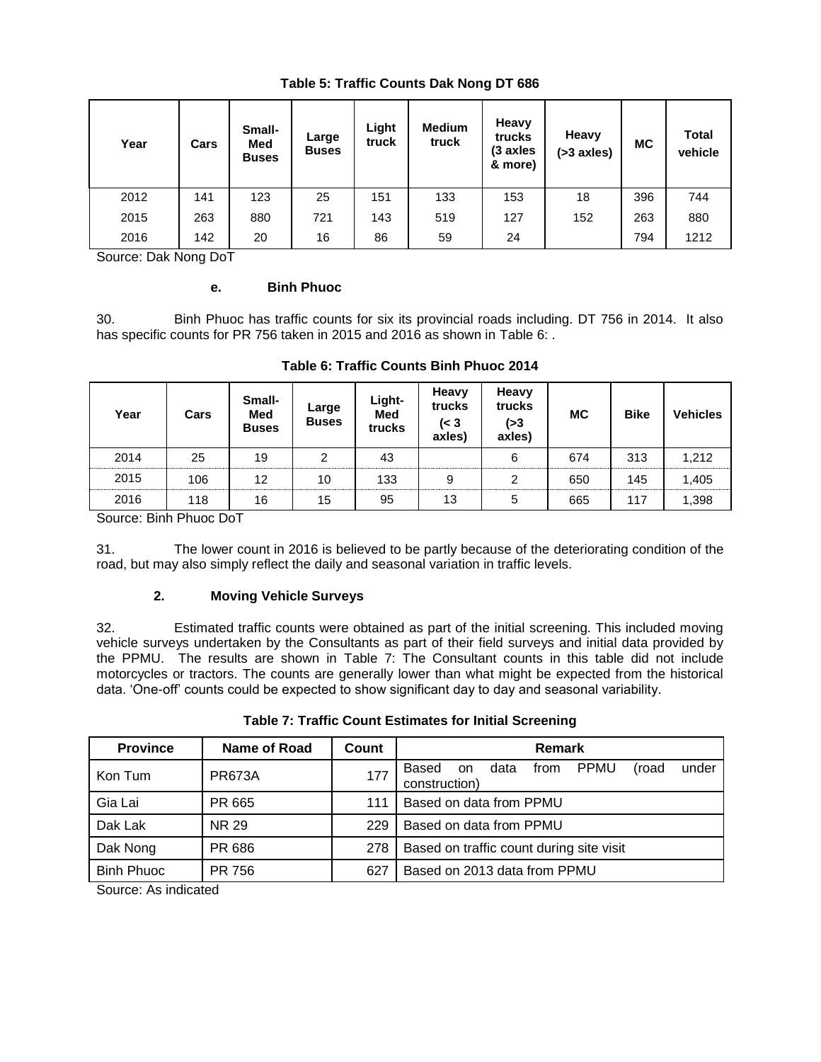| Year | Cars | Small-<br>Med<br><b>Buses</b> | Large<br><b>Buses</b> | Light<br>truck | <b>Medium</b><br>truck | Heavy<br>trucks<br>(3 axles<br>& more) | Heavy<br>$( > 3$ axles) | <b>MC</b> | Total<br>vehicle |
|------|------|-------------------------------|-----------------------|----------------|------------------------|----------------------------------------|-------------------------|-----------|------------------|
| 2012 | 141  | 123                           | 25                    | 151            | 133                    | 153                                    | 18                      | 396       | 744              |
| 2015 | 263  | 880                           | 721                   | 143            | 519                    | 127                                    | 152                     | 263       | 880              |
| 2016 | 142  | 20                            | 16                    | 86             | 59                     | 24                                     |                         | 794       | 1212             |

**Table 5: Traffic Counts Dak Nong DT 686**

Source: Dak Nong DoT

#### **e. Binh Phuoc**

30. Binh Phuoc has traffic counts for six its provincial roads including. DT 756 in 2014. It also has specific counts for PR 756 taken in 2015 and 2016 as shown in [Table 6: .](#page-5-0)

<span id="page-5-0"></span>

| Year | Cars | Small-<br>Med<br><b>Buses</b> | Large<br><b>Buses</b> | Light-<br><b>Med</b><br>trucks | Heavy<br>trucks<br>$\approx$ 3<br>axles) | Heavy<br>trucks<br>(>3<br>axles) | МC  | <b>Bike</b> | <b>Vehicles</b> |
|------|------|-------------------------------|-----------------------|--------------------------------|------------------------------------------|----------------------------------|-----|-------------|-----------------|
| 2014 | 25   | 19                            | 2                     | 43                             |                                          | 6                                | 674 | 313         | 1,212           |
| 2015 | 106  | 12                            | 10                    | 133                            | 9                                        | 2                                | 650 | 145         | 1,405           |
| 2016 | 118  | 16                            | 15                    | 95                             | 13                                       | 5                                | 665 | 117         | 1,398           |

#### **Table 6: Traffic Counts Binh Phuoc 2014**

Source: Binh Phuoc DoT

31. The lower count in 2016 is believed to be partly because of the deteriorating condition of the road, but may also simply reflect the daily and seasonal variation in traffic levels.

## **2. Moving Vehicle Surveys**

32. Estimated traffic counts were obtained as part of the initial screening. This included moving vehicle surveys undertaken by the Consultants as part of their field surveys and initial data provided by the PPMU. The results are shown in [Table 7: T](#page-5-1)he Consultant counts in this table did not include motorcycles or tractors. The counts are generally lower than what might be expected from the historical data. 'One-off' counts could be expected to show significant day to day and seasonal variability.

<span id="page-5-1"></span>

| <b>Province</b>   | Name of Road  | Count | Remark                                                                         |  |  |  |  |  |
|-------------------|---------------|-------|--------------------------------------------------------------------------------|--|--|--|--|--|
| Kon Tum           | <b>PR673A</b> | 177   | <b>PPMU</b><br>Based<br>under<br>data<br>from<br>(road<br>on.<br>construction) |  |  |  |  |  |
| Gia Lai           | PR 665        | 111   | Based on data from PPMU                                                        |  |  |  |  |  |
| Dak Lak           | <b>NR 29</b>  | 229   | Based on data from PPMU                                                        |  |  |  |  |  |
| Dak Nong          | PR 686        | 278   | Based on traffic count during site visit                                       |  |  |  |  |  |
| <b>Binh Phuoc</b> | PR 756        | 627   | Based on 2013 data from PPMU                                                   |  |  |  |  |  |

Source: As indicated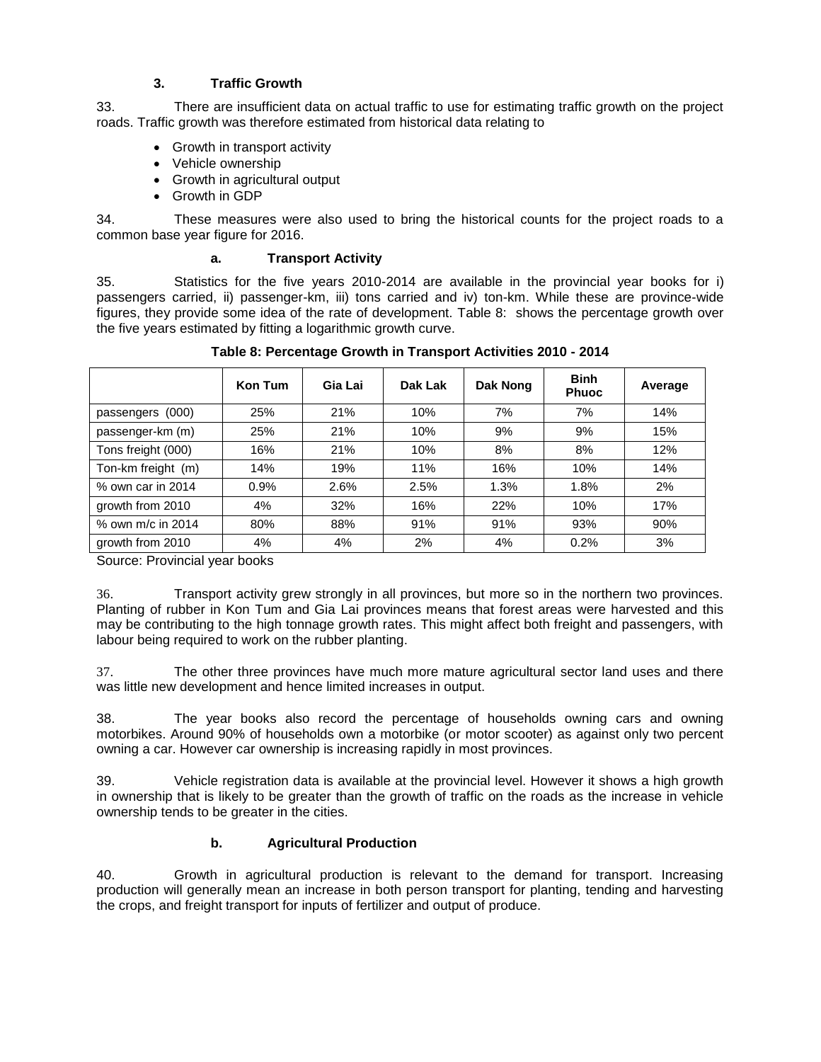## **3. Traffic Growth**

33. There are insufficient data on actual traffic to use for estimating traffic growth on the project roads. Traffic growth was therefore estimated from historical data relating to

- Growth in transport activity
- Vehicle ownership
- Growth in agricultural output
- Growth in GDP

34. These measures were also used to bring the historical counts for the project roads to a common base year figure for 2016.

#### **a. Transport Activity**

35. Statistics for the five years 2010-2014 are available in the provincial year books for i) passengers carried, ii) passenger-km, iii) tons carried and iv) ton-km. While these are province-wide figures, they provide some idea of the rate of development. [Table 8:](#page-6-0) shows the percentage growth over the five years estimated by fitting a logarithmic growth curve.

<span id="page-6-0"></span>

|                     | Kon Tum | Gia Lai | Dak Lak | Dak Nong | <b>Binh</b><br><b>Phuoc</b> | Average |
|---------------------|---------|---------|---------|----------|-----------------------------|---------|
| (000)<br>passengers | 25%     | 21%     | 10%     | 7%       | 7%                          | 14%     |
| passenger-km (m)    | 25%     | 21%     | 10%     | 9%       | 9%                          | 15%     |
| Tons freight (000)  | 16%     | 21%     | 10%     | 8%       | 8%                          | 12%     |
| Ton-km freight (m)  | 14%     | 19%     | 11%     | 16%      | 10%                         | 14%     |
| % own car in 2014   | 0.9%    | 2.6%    | 2.5%    | 1.3%     | 1.8%                        | 2%      |
| growth from 2010    | 4%      | 32%     | 16%     | 22%      | 10%                         | 17%     |
| % own m/c in 2014   | 80%     | 88%     | 91%     | 91%      | 93%                         | 90%     |
| growth from 2010    | 4%      | 4%      | 2%      | 4%       | 0.2%                        | 3%      |

## **Table 8: Percentage Growth in Transport Activities 2010 - 2014**

Source: Provincial year books

36. Transport activity grew strongly in all provinces, but more so in the northern two provinces. Planting of rubber in Kon Tum and Gia Lai provinces means that forest areas were harvested and this may be contributing to the high tonnage growth rates. This might affect both freight and passengers, with labour being required to work on the rubber planting.

37. The other three provinces have much more mature agricultural sector land uses and there was little new development and hence limited increases in output.

38. The year books also record the percentage of households owning cars and owning motorbikes. Around 90% of households own a motorbike (or motor scooter) as against only two percent owning a car. However car ownership is increasing rapidly in most provinces.

39. Vehicle registration data is available at the provincial level. However it shows a high growth in ownership that is likely to be greater than the growth of traffic on the roads as the increase in vehicle ownership tends to be greater in the cities.

## **b. Agricultural Production**

40. Growth in agricultural production is relevant to the demand for transport. Increasing production will generally mean an increase in both person transport for planting, tending and harvesting the crops, and freight transport for inputs of fertilizer and output of produce.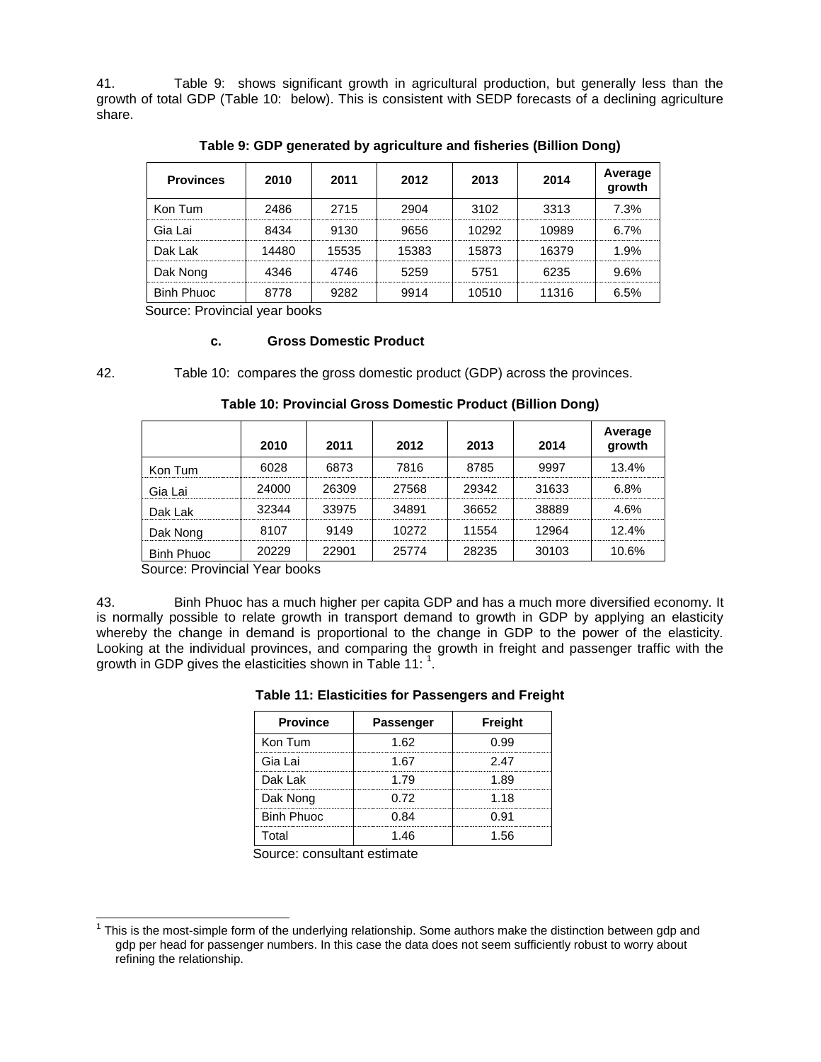41. [Table 9:](#page-7-0) shows significant growth in agricultural production, but generally less than the growth of total GDP [\(Table 10:](#page-7-1) below). This is consistent with SEDP forecasts of a declining agriculture share.

<span id="page-7-0"></span>

| <b>Provinces</b>  | 2010  | 2011  | 2012  | 2013  | 2014  | Average<br>growth |
|-------------------|-------|-------|-------|-------|-------|-------------------|
| Kon Tum           | 2486  | 2715  | 2904  | 3102  | 3313  | 7.3%              |
| Gia Lai           | 8434  | 9130  | 9656  | 10292 | 10989 | 6.7%              |
| Dak Lak           | 14480 | 15535 | 15383 | 15873 | 16379 | 1.9%              |
| Dak Nong          | 4346  | 4746  | 5259  | 5751  | 6235  | 9.6%              |
| <b>Binh Phuoc</b> | 8778  | 9282  | 9914  | 10510 | 11316 | 6.5%              |

**Table 9: GDP generated by agriculture and fisheries (Billion Dong)**

Source: Provincial year books

#### **c. Gross Domestic Product**

<span id="page-7-1"></span>

l

42. [Table 10:](#page-7-1) compares the gross domestic product (GDP) across the provinces.

|                   | 2010  | 2011  | 2012  | 2013  | 2014  | Average<br>growth |
|-------------------|-------|-------|-------|-------|-------|-------------------|
| Kon Tum           | 6028  | 6873  | 7816  | 8785  | 9997  | 13.4%             |
| Gia Lai           | 24000 | 26309 | 27568 | 29342 | 31633 | 6.8%              |
| Dak Lak           | 32344 | 33975 | 34891 | 36652 | 38889 | 4.6%              |
| Dak Nong          | 8107  | 9149  | 10272 | 11554 | 12964 | 12.4%             |
| <b>Binh Phuoc</b> | 20229 | 22901 | 25774 | 28235 | 30103 | 10.6%             |

**Table 10: Provincial Gross Domestic Product (Billion Dong)**

Source: Provincial Year books

<span id="page-7-2"></span>43. Binh Phuoc has a much higher per capita GDP and has a much more diversified economy. It is normally possible to relate growth in transport demand to growth in GDP by applying an elasticity whereby the change in demand is proportional to the change in GDP to the power of the elasticity. Looking at the individual provinces, and comparing the growth in freight and passenger traffic with the growth in GDP gives the elasticities shown in [Table 11:](#page-7-2)  $^1$ .

| <b>Province</b>   | <b>Passenger</b> | Freight |
|-------------------|------------------|---------|
| Kon Tum           | 1.62             | በ 99    |
| Gia Lai           | 1.67             | 247     |
| Dak Lak           | 1 7 9            | 1.89    |
| Dak Nong          | በ 72             | 1.18    |
| <b>Binh Phuoc</b> | በ ጸ4             | በ 91    |
| '∩tol             | 1 4 R            | 1 56    |

## **Table 11: Elasticities for Passengers and Freight**

Source: consultant estimate

 $1$  This is the most-simple form of the underlying relationship. Some authors make the distinction between gdp and gdp per head for passenger numbers. In this case the data does not seem sufficiently robust to worry about refining the relationship.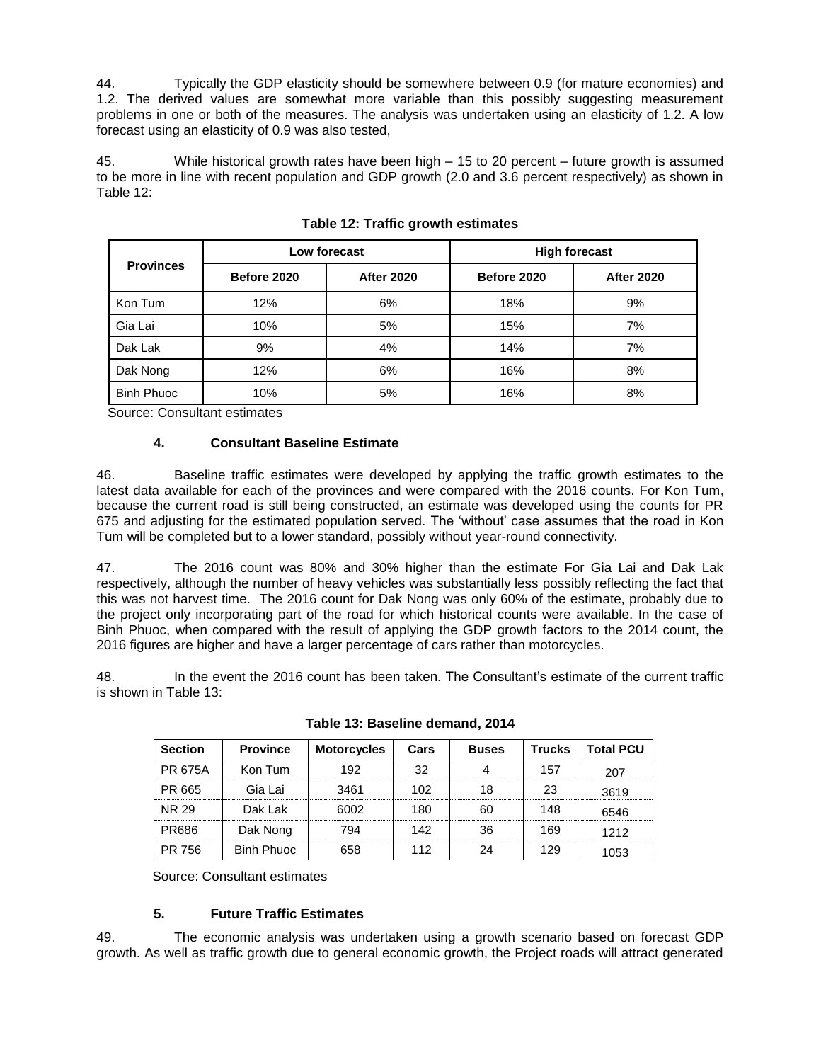44. Typically the GDP elasticity should be somewhere between 0.9 (for mature economies) and 1.2. The derived values are somewhat more variable than this possibly suggesting measurement problems in one or both of the measures. The analysis was undertaken using an elasticity of 1.2. A low forecast using an elasticity of 0.9 was also tested,

45. While historical growth rates have been high – 15 to 20 percent – future growth is assumed to be more in line with recent population and GDP growth (2.0 and 3.6 percent respectively) as shown in [Table 12:](#page-8-0) 

<span id="page-8-0"></span>

|                   |             | Low forecast      | <b>High forecast</b> |                   |  |
|-------------------|-------------|-------------------|----------------------|-------------------|--|
| <b>Provinces</b>  | Before 2020 | <b>After 2020</b> | Before 2020          | <b>After 2020</b> |  |
| Kon Tum           | 12%         | 6%                | 18%                  | 9%                |  |
| Gia Lai           | 10%         | 5%                | 15%                  | 7%                |  |
| Dak Lak           | 9%          | 4%                | 14%                  | 7%                |  |
| Dak Nong          | 12%         | 6%                | 16%                  | 8%                |  |
| <b>Binh Phuoc</b> | 10%         | 5%                | 16%                  | 8%                |  |

**Table 12: Traffic growth estimates**

Source: Consultant estimates

## **4. Consultant Baseline Estimate**

46. Baseline traffic estimates were developed by applying the traffic growth estimates to the latest data available for each of the provinces and were compared with the 2016 counts. For Kon Tum, because the current road is still being constructed, an estimate was developed using the counts for PR 675 and adjusting for the estimated population served. The 'without' case assumes that the road in Kon Tum will be completed but to a lower standard, possibly without year-round connectivity.

47. The 2016 count was 80% and 30% higher than the estimate For Gia Lai and Dak Lak respectively, although the number of heavy vehicles was substantially less possibly reflecting the fact that this was not harvest time. The 2016 count for Dak Nong was only 60% of the estimate, probably due to the project only incorporating part of the road for which historical counts were available. In the case of Binh Phuoc, when compared with the result of applying the GDP growth factors to the 2014 count, the 2016 figures are higher and have a larger percentage of cars rather than motorcycles.

<span id="page-8-1"></span>48. In the event the 2016 count has been taken. The Consultant's estimate of the current traffic is shown in [Table 13:](#page-8-1) 

| <b>Section</b> | <b>Province</b> | <b>Motorcycles</b> | Cars | <b>Buses</b> | <b>Trucks</b> | <b>Total PCU</b> |
|----------------|-----------------|--------------------|------|--------------|---------------|------------------|
| <b>PR 675A</b> | Kon Tum         | 192                | 32   |              | 157           | 207              |
| PR 665         | Gia Lai         | 3461               | 102  | 18           | 23            | 3619             |
| NR 29          | Dak Lak         | 6002               | 180  | 60           | 148           | 6546             |
| <b>PR686</b>   | Dak Nong        | 794                | 142  | 36           | 169           | 1212             |
| PR 756         | Binh Phuoc      | 658                | 112  | 24           | 129           | 1053             |

## **Table 13: Baseline demand, 2014**

Source: Consultant estimates

## **5. Future Traffic Estimates**

49. The economic analysis was undertaken using a growth scenario based on forecast GDP growth. As well as traffic growth due to general economic growth, the Project roads will attract generated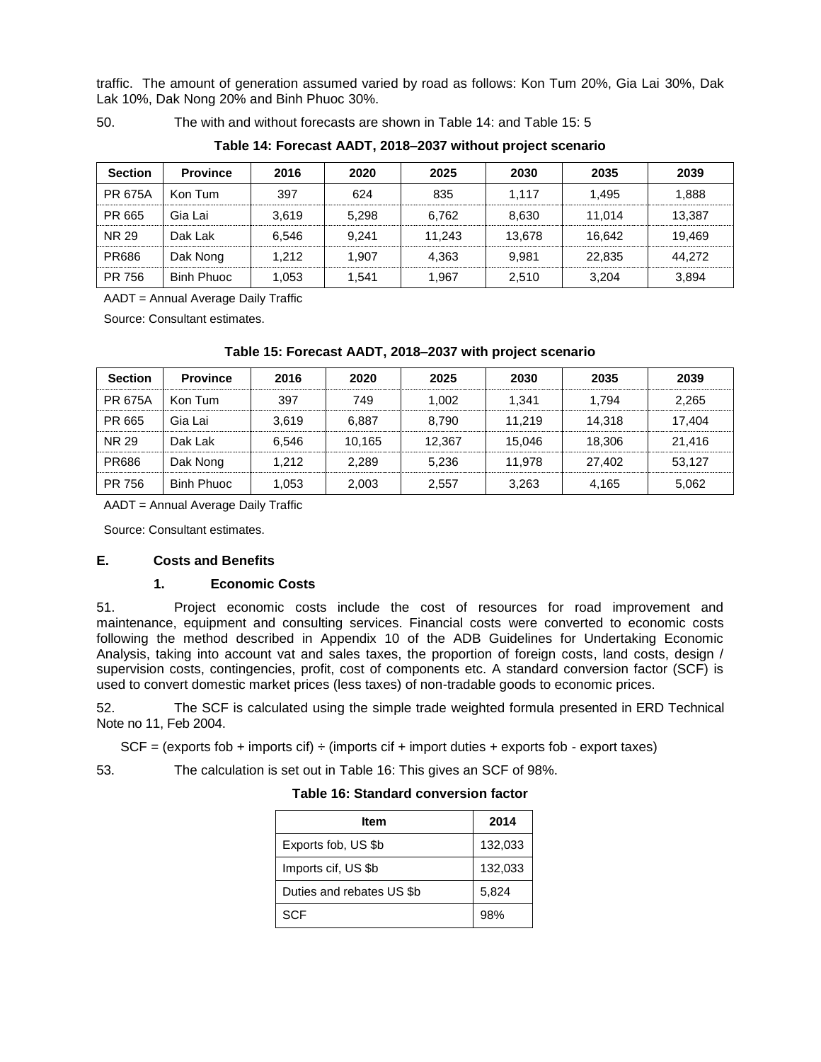traffic. The amount of generation assumed varied by road as follows: Kon Tum 20%, Gia Lai 30%, Dak Lak 10%, Dak Nong 20% and Binh Phuoc 30%.

<span id="page-9-0"></span>50. The with and without forecasts are shown in [Table 14: a](#page-9-0)nd [Table 15: 5](#page-9-1)

| <b>Section</b> | <b>Province</b>   | 2016  | 2020  | 2025   | 2030   | 2035   | 2039   |
|----------------|-------------------|-------|-------|--------|--------|--------|--------|
| <b>PR 675A</b> | Kon Tum           | 397   | 624   | 835    | 1.117  | 1.495  | 1,888  |
| PR 665         | Gia Lai           | 3.619 | 5.298 | 6.762  | 8,630  | 11.014 | 13,387 |
| <b>NR 29</b>   | Dak Lak           | 6.546 | 9.241 | 11.243 | 13.678 | 16.642 | 19.469 |
| <b>PR686</b>   | Dak Nong          | 1.212 | 1,907 | 4.363  | 9.981  | 22,835 | 44,272 |
| PR 756         | <b>Binh Phuoc</b> | 1,053 | 1.541 | 1,967  | 2,510  | 3,204  | 3,894  |

#### **Table 14: Forecast AADT, 2018–2037 without project scenario**

AADT = Annual Average Daily Traffic

Source: Consultant estimates.

<span id="page-9-1"></span>

| <b>Section</b> | <b>Province</b>   | 2016  | 2020   | 2025   | 2030   | 2035   | 2039   |
|----------------|-------------------|-------|--------|--------|--------|--------|--------|
| <b>PR 675A</b> | Kon Tum           | 397   | 749    | 1.002  | 1.341  | 1.794  | 2,265  |
| PR 665         | Gia Lai           | 3.619 | 6.887  | 8.790  | 11.219 | 14.318 | 17.404 |
| <b>NR 29</b>   | Dak Lak           | 6.546 | 10.165 | 12.367 | 15.046 | 18,306 | 21.416 |
| PR686          | Dak Nong          | 1.212 | 2,289  | 5.236  | 11.978 | 27.402 | 53,127 |
| PR 756         | <b>Binh Phuoc</b> | 1,053 | 2,003  | 2,557  | 3,263  | 4,165  | 5,062  |

## **Table 15: Forecast AADT, 2018–2037 with project scenario**

AADT = Annual Average Daily Traffic

Source: Consultant estimates.

#### **E. Costs and Benefits**

#### **1. Economic Costs**

51. Project economic costs include the cost of resources for road improvement and maintenance, equipment and consulting services. Financial costs were converted to economic costs following the method described in Appendix 10 of the ADB Guidelines for Undertaking Economic Analysis, taking into account vat and sales taxes, the proportion of foreign costs, land costs, design / supervision costs, contingencies, profit, cost of components etc. A standard conversion factor (SCF) is used to convert domestic market prices (less taxes) of non-tradable goods to economic prices.

52. The SCF is calculated using the simple trade weighted formula presented in ERD Technical Note no 11, Feb 2004.

 $SCF = (exports fob + imports cif) \div (imports cif + import duties + exports fob - export taxes)$ 

<span id="page-9-2"></span>53. The calculation is set out in [Table 16: T](#page-9-2)his gives an SCF of 98%.

#### **Table 16: Standard conversion factor**

| <b>Item</b>               | 2014    |
|---------------------------|---------|
| Exports fob, US \$b       | 132,033 |
| Imports cif, US \$b       | 132,033 |
| Duties and rebates US \$b | 5,824   |
| SCF                       | 98%     |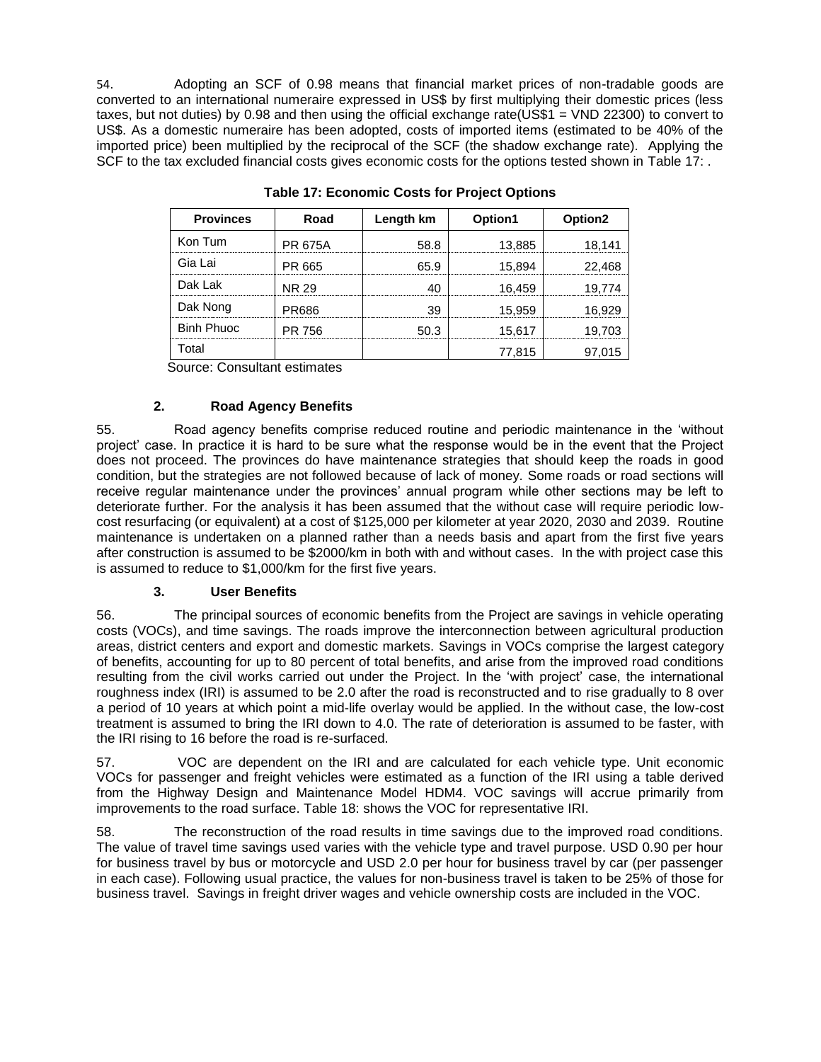54. Adopting an SCF of 0.98 means that financial market prices of non-tradable goods are converted to an international numeraire expressed in US\$ by first multiplying their domestic prices (less taxes, but not duties) by 0.98 and then using the official exchange rate( $\text{US$1 = VND 22300}$ ) to convert to US\$. As a domestic numeraire has been adopted, costs of imported items (estimated to be 40% of the imported price) been multiplied by the reciprocal of the SCF (the shadow exchange rate). Applying the SCF to the tax excluded financial costs gives economic costs for the options tested shown in [Table 17: .](#page-10-0)

<span id="page-10-0"></span>

| <b>Provinces</b>  | Road           | Length km | Option1 | Option2 |
|-------------------|----------------|-----------|---------|---------|
| Kon Tum           | <b>PR 675A</b> | 58 R      | 13,885  | 18.141  |
| Gia Lai           | PR 665         | 65.9      | 15,894  | 22 468  |
| Dak Lak           | NR 29          |           | 16,459  | 19.774  |
| Dak Nong          | PR686          | зa        | 15,959  | 16.929  |
| <b>Binh Phuoc</b> | PR 756         | 50 S      | 15.617  | 19.703  |
| Гоtal             |                |           | 77.815  |         |

**Table 17: Economic Costs for Project Options**

Source: Consultant estimates

## **2. Road Agency Benefits**

55. Road agency benefits comprise reduced routine and periodic maintenance in the 'without project' case. In practice it is hard to be sure what the response would be in the event that the Project does not proceed. The provinces do have maintenance strategies that should keep the roads in good condition, but the strategies are not followed because of lack of money. Some roads or road sections will receive regular maintenance under the provinces' annual program while other sections may be left to deteriorate further. For the analysis it has been assumed that the without case will require periodic lowcost resurfacing (or equivalent) at a cost of \$125,000 per kilometer at year 2020, 2030 and 2039. Routine maintenance is undertaken on a planned rather than a needs basis and apart from the first five years after construction is assumed to be \$2000/km in both with and without cases. In the with project case this is assumed to reduce to \$1,000/km for the first five years.

## **3. User Benefits**

56. The principal sources of economic benefits from the Project are savings in vehicle operating costs (VOCs), and time savings. The roads improve the interconnection between agricultural production areas, district centers and export and domestic markets. Savings in VOCs comprise the largest category of benefits, accounting for up to 80 percent of total benefits, and arise from the improved road conditions resulting from the civil works carried out under the Project. In the 'with project' case, the international roughness index (IRI) is assumed to be 2.0 after the road is reconstructed and to rise gradually to 8 over a period of 10 years at which point a mid-life overlay would be applied. In the without case, the low-cost treatment is assumed to bring the IRI down to 4.0. The rate of deterioration is assumed to be faster, with the IRI rising to 16 before the road is re-surfaced.

57. VOC are dependent on the IRI and are calculated for each vehicle type. Unit economic VOCs for passenger and freight vehicles were estimated as a function of the IRI using a table derived from the Highway Design and Maintenance Model HDM4. VOC savings will accrue primarily from improvements to the road surface. [Table 18:](#page-11-0) shows the VOC for representative IRI.

58. The reconstruction of the road results in time savings due to the improved road conditions. The value of travel time savings used varies with the vehicle type and travel purpose. USD 0.90 per hour for business travel by bus or motorcycle and USD 2.0 per hour for business travel by car (per passenger in each case). Following usual practice, the values for non-business travel is taken to be 25% of those for business travel. Savings in freight driver wages and vehicle ownership costs are included in the VOC.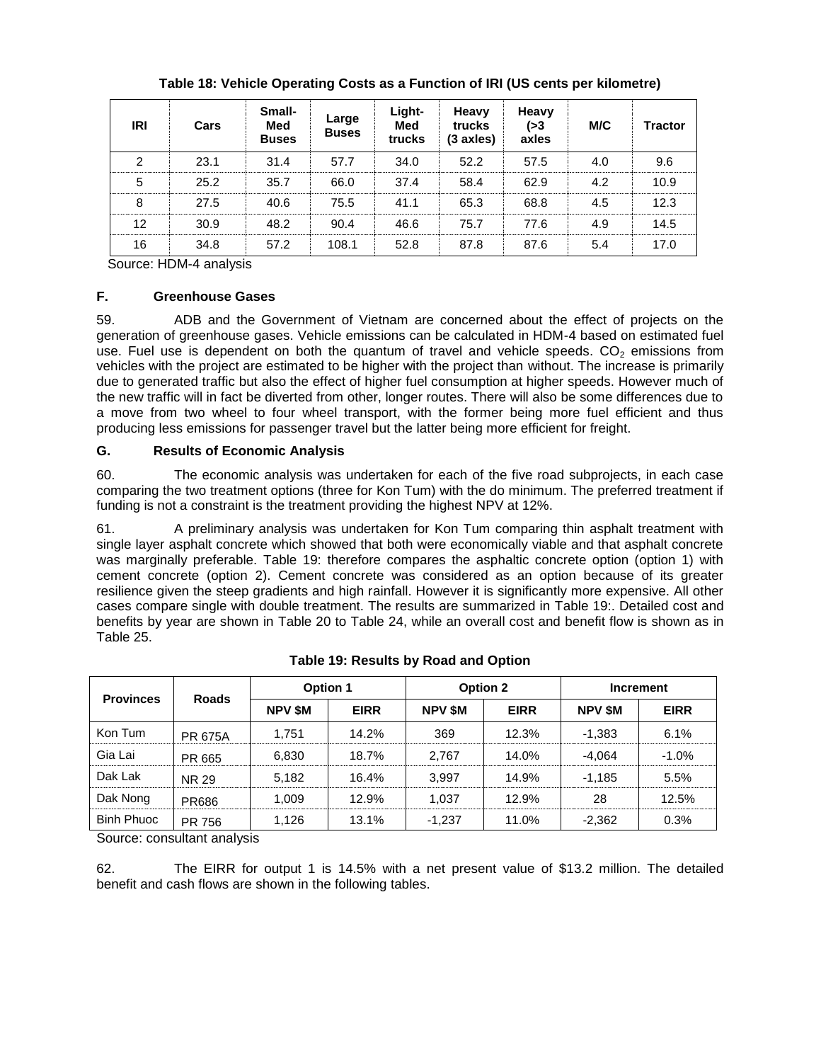<span id="page-11-0"></span>

| IRI | Cars | Small-<br>Med<br><b>Buses</b> | Large<br><b>Buses</b> | Light-<br><b>Med</b><br>trucks | Heavy<br>trucks<br>$(3 \times \text{axis})$ | Heavy<br>( > 3)<br>axles | M/C | <b>Tractor</b> |
|-----|------|-------------------------------|-----------------------|--------------------------------|---------------------------------------------|--------------------------|-----|----------------|
| 2   | 23.1 | 31.4                          | 57.7                  | 34.0                           | 52.2                                        | 57.5                     | 4.0 | 9.6            |
| 5   | 25.2 | 35.7                          | 66.0                  | 37.4                           | 58.4                                        | 62.9                     | 4.2 | 10.9           |
| 8   | 27.5 | 40.6                          | 75.5                  | 41.1                           | 65.3                                        | 68.8                     | 4.5 | 12.3           |
| 12  | 30.9 | 48.2                          | 90.4                  | 46.6                           | 75.7                                        | 77.6                     | 4.9 | 14.5           |
| 16  | 34.8 | 57.2                          | 108.1                 | 52.8                           | 87.8                                        | 87.6                     | 5.4 | 17.0           |

**Table 18: Vehicle Operating Costs as a Function of IRI (US cents per kilometre)**

Source: HDM-4 analysis

#### **F. Greenhouse Gases**

59. ADB and the Government of Vietnam are concerned about the effect of projects on the generation of greenhouse gases. Vehicle emissions can be calculated in HDM-4 based on estimated fuel use. Fuel use is dependent on both the quantum of travel and vehicle speeds.  $CO<sub>2</sub>$  emissions from vehicles with the project are estimated to be higher with the project than without. The increase is primarily due to generated traffic but also the effect of higher fuel consumption at higher speeds. However much of the new traffic will in fact be diverted from other, longer routes. There will also be some differences due to a move from two wheel to four wheel transport, with the former being more fuel efficient and thus producing less emissions for passenger travel but the latter being more efficient for freight.

## **G. Results of Economic Analysis**

60. The economic analysis was undertaken for each of the five road subprojects, in each case comparing the two treatment options (three for Kon Tum) with the do minimum. The preferred treatment if funding is not a constraint is the treatment providing the highest NPV at 12%.

61. A preliminary analysis was undertaken for Kon Tum comparing thin asphalt treatment with single layer asphalt concrete which showed that both were economically viable and that asphalt concrete was marginally preferable. [Table 19:](#page-11-1) therefore compares the asphaltic concrete option (option 1) with cement concrete (option 2). Cement concrete was considered as an option because of its greater resilience given the steep gradients and high rainfall. However it is significantly more expensive. All other cases compare single with double treatment. The results are summarized in [Table 19:.](#page-11-1) Detailed cost and benefits by year are shown in Table 20 to Table 24, while an overall cost and benefit flow is shown as in Table 25.

<span id="page-11-1"></span>

| <b>Provinces</b>  | <b>Roads</b>   | Option 1      |             | <b>Option 2</b> |             | Increment     |             |  |
|-------------------|----------------|---------------|-------------|-----------------|-------------|---------------|-------------|--|
|                   |                | <b>NPV SM</b> | <b>EIRR</b> | <b>NPV SM</b>   | <b>EIRR</b> | <b>NPV SM</b> | <b>EIRR</b> |  |
| Kon Tum           | <b>PR 675A</b> | 1.751         | 14.2%       | 369             | 12.3%       | $-1.383$      | 6.1%        |  |
| Gia Lai           | PR 665         | 6,830         | 18.7%       | 2,767           | 14.0%       | $-4.064$      | $-1.0%$     |  |
| Dak Lak           | <b>NR 29</b>   | 5,182         | 16.4%       | 3.997           | 14.9%       | $-1.185$      | 5.5%        |  |
| Dak Nong          | PR686          | 1.009         | 12.9%       | 1.037           | 12.9%       | 28            | 12.5%       |  |
| <b>Binh Phuoc</b> | PR 756         | 1,126         | 13.1%       | $-1,237$        | 11.0%       | $-2,362$      | 0.3%        |  |

| Table 19: Results by Road and Option |  |  |  |  |
|--------------------------------------|--|--|--|--|
|--------------------------------------|--|--|--|--|

Source: consultant analysis

62. The EIRR for output 1 is 14.5% with a net present value of \$13.2 million. The detailed benefit and cash flows are shown in the following tables.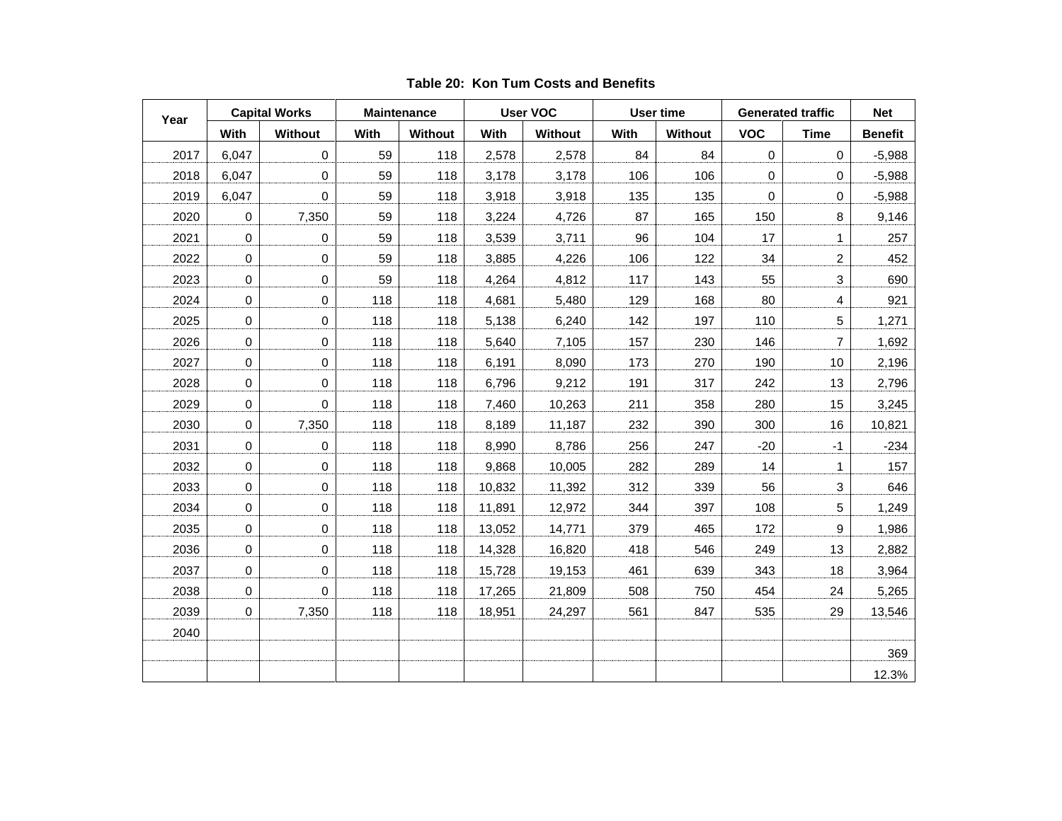| Year |             | <b>Capital Works</b> |      | <b>Maintenance</b> |        | <b>User VOC</b> |      | <b>User time</b> |             | <b>Generated traffic</b> | <b>Net</b>     |
|------|-------------|----------------------|------|--------------------|--------|-----------------|------|------------------|-------------|--------------------------|----------------|
|      | With        | Without              | With | Without            | With   | Without         | With | <b>Without</b>   | <b>VOC</b>  | <b>Time</b>              | <b>Benefit</b> |
| 2017 | 6,047       | $\mathbf 0$          | 59   | 118                | 2,578  | 2,578           | 84   | 84               | $\mathbf 0$ | $\Omega$                 | $-5,988$       |
| 2018 | 6,047       | $\mathbf 0$          | 59   | 118                | 3,178  | 3,178           | 106  | 106              | $\mathbf 0$ | $\Omega$                 | $-5,988$       |
| 2019 | 6,047       | $\pmb{0}$            | 59   | 118                | 3,918  | 3,918           | 135  | 135              | 0           | $\Omega$                 | $-5,988$       |
| 2020 | 0           | 7,350                | 59   | 118                | 3,224  | 4,726           | 87   | 165              | 150         | 8                        | 9,146          |
| 2021 | 0           | $\mathbf 0$          | 59   | 118                | 3,539  | 3,711           | 96   | 104              | 17          | $\mathbf{1}$             | 257            |
| 2022 | 0           | $\mathbf 0$          | 59   | 118                | 3,885  | 4,226           | 106  | 122              | 34          | $\overline{2}$           | 452            |
| 2023 | 0           | 0                    | 59   | 118                | 4,264  | 4,812           | 117  | 143              | 55          | 3                        | 690            |
| 2024 | 0           | $\pmb{0}$            | 118  | 118                | 4,681  | 5,480           | 129  | 168              | 80          | 4                        | 921            |
| 2025 | 0           | $\pmb{0}$            | 118  | 118                | 5,138  | 6,240           | 142  | 197              | 110         | 5                        | 1,271          |
| 2026 | 0           | $\mathbf 0$          | 118  | 118                | 5,640  | 7,105           | 157  | 230              | 146         | $\overline{7}$           | 1,692          |
| 2027 | 0           | $\pmb{0}$            | 118  | 118                | 6,191  | 8,090           | 173  | 270              | 190         | 10                       | 2,196          |
| 2028 | 0           | $\pmb{0}$            | 118  | 118                | 6,796  | 9,212           | 191  | 317              | 242         | 13                       | 2,796          |
| 2029 | 0           | $\mathbf 0$          | 118  | 118                | 7,460  | 10,263          | 211  | 358              | 280         | 15                       | 3,245          |
| 2030 | 0           | 7,350                | 118  | 118                | 8,189  | 11,187          | 232  | 390              | 300         | 16                       | 10,821         |
| 2031 | $\mathbf 0$ | $\mathbf 0$          | 118  | 118                | 8,990  | 8,786           | 256  | 247              | $-20$       | $-1$                     | $-234$         |
| 2032 | 0           | $\pmb{0}$            | 118  | 118                | 9,868  | 10,005          | 282  | 289              | 14          | $\mathbf{1}$             | 157            |
| 2033 | 0           | $\pmb{0}$            | 118  | 118                | 10,832 | 11,392          | 312  | 339              | 56          | 3                        | 646            |
| 2034 | 0           | $\pmb{0}$            | 118  | 118                | 11,891 | 12,972          | 344  | 397              | 108         | 5                        | 1,249          |
| 2035 | 0           | $\mathbf 0$          | 118  | 118                | 13,052 | 14,771          | 379  | 465              | 172         | 9                        | 1,986          |
| 2036 | 0           | $\mathbf 0$          | 118  | 118                | 14,328 | 16,820          | 418  | 546              | 249         | 13                       | 2,882          |
| 2037 | 0           | $\pmb{0}$            | 118  | 118                | 15,728 | 19,153          | 461  | 639              | 343         | 18                       | 3,964          |
| 2038 | 0           | $\Omega$             | 118  | 118                | 17,265 | 21,809          | 508  | 750              | 454         | 24                       | 5,265          |
| 2039 | 0           | 7,350                | 118  | 118                | 18,951 | 24,297          | 561  | 847              | 535         | 29                       | 13,546         |
| 2040 |             |                      |      |                    |        |                 |      |                  |             |                          |                |
|      |             |                      |      |                    |        |                 |      |                  |             |                          | 369            |
|      |             |                      |      |                    |        |                 |      |                  |             |                          | 12.3%          |

**Table 20: Kon Tum Costs and Benefits**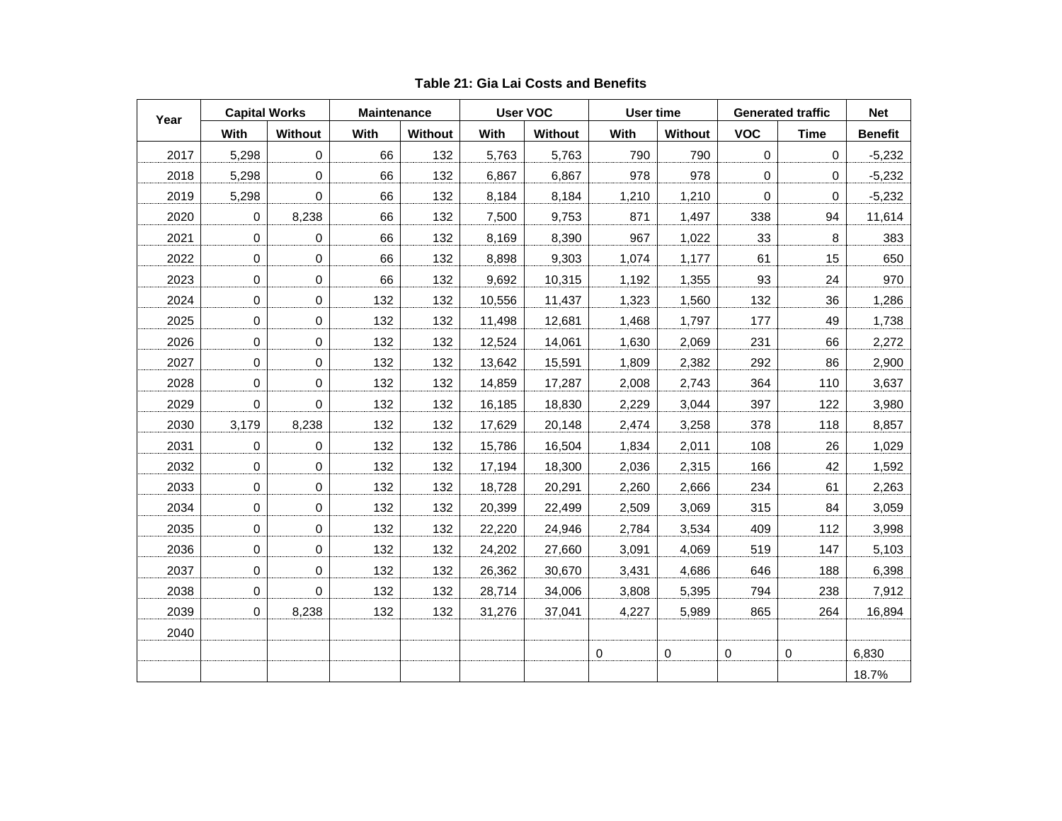| Year | <b>Capital Works</b> |             | <b>Maintenance</b> |         |        | <b>User VOC</b> | User time |         |             | <b>Generated traffic</b> |                |
|------|----------------------|-------------|--------------------|---------|--------|-----------------|-----------|---------|-------------|--------------------------|----------------|
|      | With                 | Without     | With               | Without | With   | <b>Without</b>  | With      | Without | <b>VOC</b>  | <b>Time</b>              | <b>Benefit</b> |
| 2017 | 5,298                | $\Omega$    | 66                 | 132     | 5,763  | 5,763           | 790       | 790     | $\Omega$    | $\mathbf{0}$             | $-5,232$       |
| 2018 | 5,298                | $\mathbf 0$ | 66                 | 132     | 6,867  | 6,867           | 978       | 978     | $\mathbf 0$ | $\mathbf 0$              | $-5,232$       |
| 2019 | 5,298                | $\Omega$    | 66                 | 132     | 8,184  | 8,184           | 1,210     | 1,210   | $\Omega$    | $\mathbf{0}$             | $-5,232$       |
| 2020 | 0                    | 8,238       | 66                 | 132     | 7,500  | 9,753           | 871       | 1,497   | 338         | 94                       | 11,614         |
| 2021 | 0                    | $\mathbf 0$ | 66                 | 132     | 8,169  | 8,390           | 967       | 1,022   | 33          | 8                        | 383            |
| 2022 | 0                    | $\mathbf 0$ | 66                 | 132     | 8,898  | 9,303           | 1,074     | 1,177   | 61          | 15                       | 650            |
| 2023 | $\mathbf 0$          | $\mathbf 0$ | 66                 | 132     | 9,692  | 10,315          | 1,192     | 1,355   | 93          | 24                       | 970            |
| 2024 | $\mathbf 0$          | $\mathbf 0$ | 132                | 132     | 10,556 | 11,437          | 1,323     | 1,560   | 132         | 36                       | 1,286          |
| 2025 | 0                    | 0           | 132                | 132     | 11,498 | 12,681          | 1,468     | 1,797   | 177         | 49                       | 1,738          |
| 2026 | $\mathbf 0$          | $\mathbf 0$ | 132                | 132     | 12,524 | 14,061          | 1,630     | 2,069   | 231         | 66                       | 2,272          |
| 2027 | 0                    | $\mathbf 0$ | 132                | 132     | 13,642 | 15,591          | 1,809     | 2,382   | 292         | 86                       | 2,900          |
| 2028 | 0                    | 0           | 132                | 132     | 14,859 | 17,287          | 2,008     | 2,743   | 364         | 110                      | 3,637          |
| 2029 | $\Omega$             | $\Omega$    | 132                | 132     | 16,185 | 18,830          | 2,229     | 3,044   | 397         | 122                      | 3,980          |
| 2030 | 3,179                | 8,238       | 132                | 132     | 17,629 | 20,148          | 2,474     | 3,258   | 378         | 118                      | 8,857          |
| 2031 | 0                    | 0           | 132                | 132     | 15,786 | 16,504          | 1,834     | 2,011   | 108         | 26                       | 1,029          |
| 2032 | 0                    | 0           | 132                | 132     | 17,194 | 18,300          | 2,036     | 2,315   | 166         | 42                       | 1,592          |
| 2033 | 0                    | $\mathbf 0$ | 132                | 132     | 18,728 | 20,291          | 2,260     | 2,666   | 234         | 61                       | 2,263          |
| 2034 | $\mathbf 0$          | 0           | 132                | 132     | 20,399 | 22,499          | 2,509     | 3,069   | 315         | 84                       | 3,059          |
| 2035 | 0                    | 0           | 132                | 132     | 22,220 | 24,946          | 2,784     | 3,534   | 409         | 112                      | 3,998          |
| 2036 | 0                    | $\mathbf 0$ | 132                | 132     | 24,202 | 27,660          | 3,091     | 4,069   | 519         | 147                      | 5,103          |
| 2037 | 0                    | $\mathbf 0$ | 132                | 132     | 26,362 | 30,670          | 3,431     | 4,686   | 646         | 188                      | 6,398          |
| 2038 | 0                    | $\Omega$    | 132                | 132     | 28,714 | 34,006          | 3,808     | 5,395   | 794         | 238                      | 7,912          |
| 2039 | 0                    | 8,238       | 132                | 132     | 31,276 | 37,041          | 4,227     | 5,989   | 865         | 264                      | 16,894         |
| 2040 |                      |             |                    |         |        |                 |           |         |             |                          |                |
|      |                      |             |                    |         |        |                 | 0         | 0       | 0           | 0                        | 6,830          |
|      |                      |             |                    |         |        |                 |           |         |             |                          | 18.7%          |

**Table 21: Gia Lai Costs and Benefits**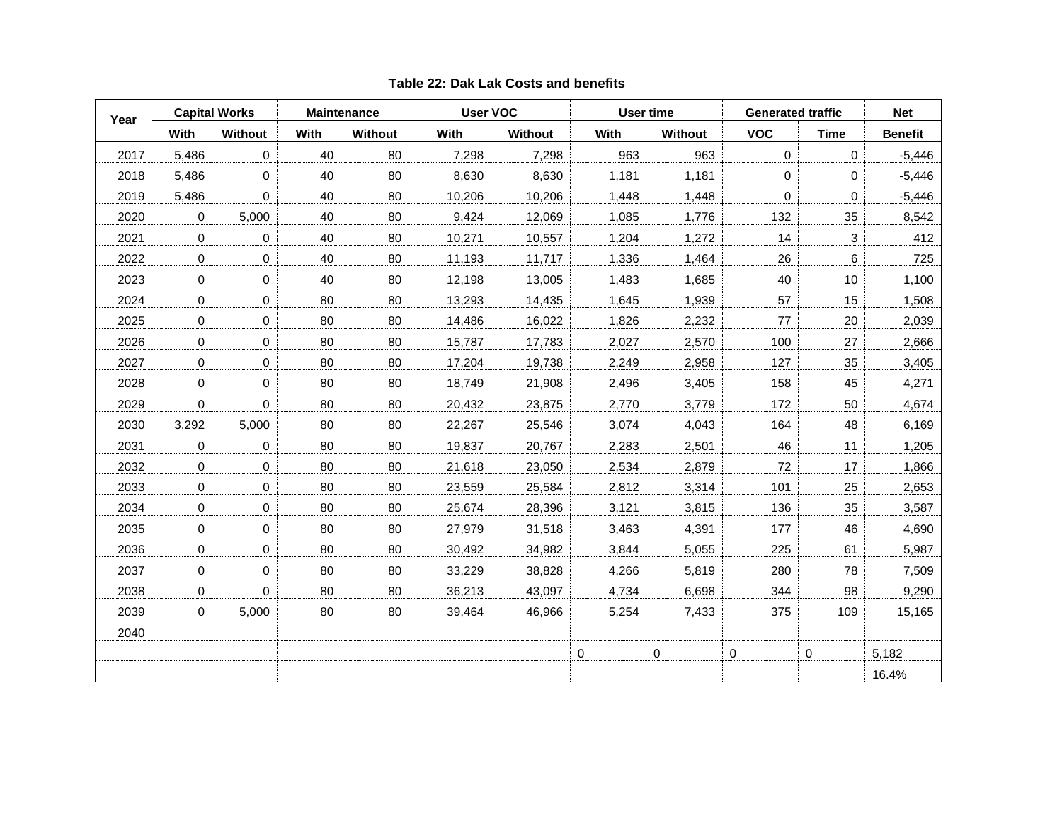| Year | <b>Capital Works</b><br><b>Maintenance</b> |             |      | <b>User VOC</b> |        |                | User time | <b>Generated traffic</b> |            | <b>Net</b> |                |
|------|--------------------------------------------|-------------|------|-----------------|--------|----------------|-----------|--------------------------|------------|------------|----------------|
|      | With                                       | Without     | With | <b>Without</b>  | With   | <b>Without</b> | With      | <b>Without</b>           | <b>VOC</b> | Time       | <b>Benefit</b> |
| 2017 | 5,486                                      | 0           | 40   | 80              | 7,298  | 7,298          | 963       | 963                      | 0          | 0          | $-5,446$       |
| 2018 | 5,486                                      | $\Omega$    | 40   | 80              | 8,630  | 8,630          | 1,181     | 1,181                    | 0          | $\Omega$   | $-5,446$       |
| 2019 | 5,486                                      | 0           | 40   | 80              | 10,206 | 10,206         | 1,448     | 1,448                    | 0          | 0          | $-5,446$       |
| 2020 | 0                                          | 5,000       | 40   | 80              | 9,424  | 12,069         | 1,085     | 1,776                    | 132        | 35         | 8,542          |
| 2021 | $\Omega$                                   | $\mathbf 0$ | 40   | 80              | 10,271 | 10,557         | 1,204     | 1,272                    | 14         | 3          | 412            |
| 2022 | $\mathbf 0$                                | 0           | 40   | 80              | 11,193 | 11,717         | 1,336     | 1,464                    | 26         | 6          | 725            |
| 2023 | $\mathbf 0$                                | 0           | 40   | 80              | 12,198 | 13,005         | 1,483     | 1,685                    | 40         | 10         | 1,100          |
| 2024 | $\Omega$                                   | 0           | 80   | 80              | 13,293 | 14,435         | 1,645     | 1,939                    | 57         | 15         | 1,508          |
| 2025 | 0                                          | 0           | 80   | 80              | 14,486 | 16,022         | 1,826     | 2,232                    | 77         | 20         | 2,039          |
| 2026 | $\mathbf 0$                                | 0           | 80   | 80              | 15,787 | 17,783         | 2,027     | 2,570                    | 100        | 27         | 2,666          |
| 2027 | $\Omega$                                   | 0           | 80   | 80              | 17,204 | 19,738         | 2,249     | 2,958                    | 127        | 35         | 3,405          |
| 2028 | 0                                          | 0           | 80   | 80              | 18,749 | 21,908         | 2,496     | 3,405                    | 158        | 45         | 4,271          |
| 2029 | $\mathbf 0$                                | 0           | 80   | 80              | 20,432 | 23,875         | 2,770     | 3,779                    | 172        | 50         | 4,674          |
| 2030 | 3,292                                      | 5,000       | 80   | 80              | 22,267 | 25,546         | 3,074     | 4,043                    | 164        | 48         | 6,169          |
| 2031 | 0                                          | 0           | 80   | 80              | 19,837 | 20,767         | 2,283     | 2,501                    | 46         | 11         | 1,205          |
| 2032 | $\mathbf 0$                                | $\pmb{0}$   | 80   | 80              | 21,618 | 23,050         | 2,534     | 2,879                    | 72         | 17         | 1,866          |
| 2033 | $\mathbf 0$                                | 0           | 80   | 80              | 23,559 | 25,584         | 2,812     | 3,314                    | 101        | 25         | 2,653          |
| 2034 | 0                                          | 0           | 80   | 80              | 25,674 | 28,396         | 3,121     | 3,815                    | 136        | 35         | 3,587          |
| 2035 | 0                                          | 0           | 80   | 80              | 27,979 | 31,518         | 3,463     | 4,391                    | 177        | 46         | 4,690          |
| 2036 | $\mathbf 0$                                | 0           | 80   | 80              | 30,492 | 34,982         | 3,844     | 5,055                    | 225        | 61         | 5,987          |
| 2037 | $\mathbf 0$                                | $\mathbf 0$ | 80   | 80              | 33,229 | 38,828         | 4,266     | 5,819                    | 280        | 78         | 7,509          |
| 2038 | 0                                          | $\mathbf 0$ | 80   | 80              | 36,213 | 43,097         | 4,734     | 6,698                    | 344        | 98         | 9,290          |
| 2039 | $\mathbf 0$                                | 5,000       | 80   | 80              | 39,464 | 46,966         | 5,254     | 7,433                    | 375        | 109        | 15,165         |
| 2040 |                                            |             |      |                 |        |                |           |                          |            |            |                |
|      |                                            |             |      |                 |        |                | 0         | 0                        | $\pmb{0}$  | 0          | 5,182          |
|      |                                            |             |      |                 |        |                |           |                          |            |            | 16.4%          |

# **Table 22: Dak Lak Costs and benefits**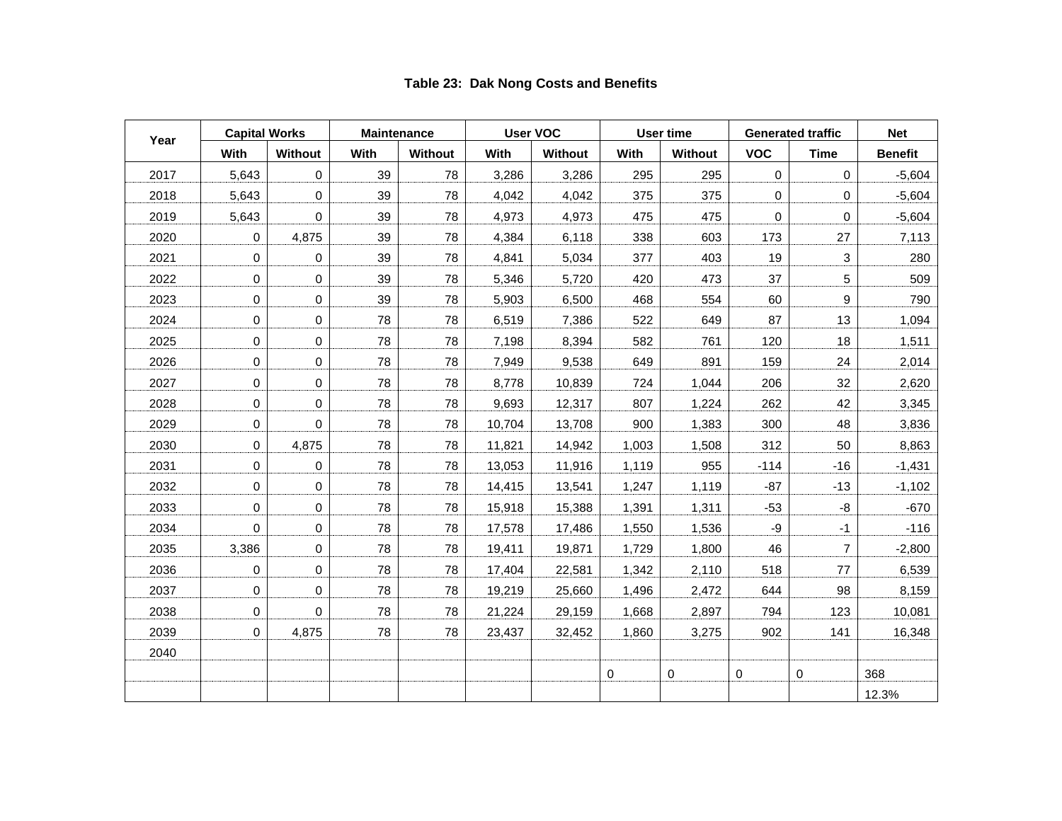| Year | <b>Capital Works</b> |             |      | <b>Maintenance</b> |        | <b>User VOC</b> |       | User time | <b>Generated traffic</b> |                | <b>Net</b>     |
|------|----------------------|-------------|------|--------------------|--------|-----------------|-------|-----------|--------------------------|----------------|----------------|
|      | With                 | Without     | With | Without            | With   | Without         | With  | Without   | <b>VOC</b>               | <b>Time</b>    | <b>Benefit</b> |
| 2017 | 5,643                | $\mathbf 0$ | 39   | 78                 | 3,286  | 3,286           | 295   | 295       | $\mathbf 0$              | $\Omega$       | $-5,604$       |
| 2018 | 5,643                | $\mathbf 0$ | 39   | 78                 | 4,042  | 4,042           | 375   | 375       | $\mathbf 0$              | $\Omega$       | $-5,604$       |
| 2019 | 5,643                | $\mathbf 0$ | 39   | 78                 | 4,973  | 4,973           | 475   | 475       | 0                        | $\Omega$       | $-5,604$       |
| 2020 | 0                    | 4,875       | 39   | 78                 | 4,384  | 6,118           | 338   | 603       | 173                      | 27             | 7,113          |
| 2021 | $\mathbf 0$          | 0           | 39   | 78                 | 4,841  | 5,034           | 377   | 403       | 19                       | 3              | 280            |
| 2022 | $\mathbf 0$          | $\mathbf 0$ | 39   | 78                 | 5,346  | 5,720           | 420   | 473       | 37                       | 5              | 509            |
| 2023 | $\mathsf{O}\xspace$  | $\mathbf 0$ | 39   | 78                 | 5,903  | 6,500           | 468   | 554       | 60                       | 9              | 790            |
| 2024 | $\mathbf 0$          | $\mathbf 0$ | 78   | 78                 | 6,519  | 7,386           | 522   | 649       | 87                       | 13             | 1,094          |
| 2025 | $\mathbf 0$          | $\mathbf 0$ | 78   | 78                 | 7,198  | 8,394           | 582   | 761       | 120                      | 18             | 1,511          |
| 2026 | $\mathsf{O}\xspace$  | $\mathbf 0$ | 78   | 78                 | 7,949  | 9,538           | 649   | 891       | 159                      | 24             | 2,014          |
| 2027 | $\mathbf 0$          | $\mathbf 0$ | 78   | 78                 | 8,778  | 10,839          | 724   | 1,044     | 206                      | 32             | 2,620          |
| 2028 | $\mathbf 0$          | $\mathbf 0$ | 78   | 78                 | 9,693  | 12,317          | 807   | 1,224     | 262                      | 42             | 3,345          |
| 2029 | $\mathsf{O}\xspace$  | $\mathbf 0$ | 78   | 78                 | 10,704 | 13,708          | 900   | 1,383     | 300                      | 48             | 3,836          |
| 2030 | $\mathbf 0$          | 4,875       | 78   | 78                 | 11,821 | 14,942          | 1,003 | 1,508     | 312                      | 50             | 8,863          |
| 2031 | $\mathbf 0$          | $\mathbf 0$ | 78   | 78                 | 13,053 | 11,916          | 1,119 | 955       | $-114$                   | $-16$          | $-1,431$       |
| 2032 | $\mathbf 0$          | $\mathbf 0$ | 78   | 78                 | 14,415 | 13,541          | 1,247 | 1,119     | $-87$                    | $-13$          | $-1,102$       |
| 2033 | $\mathbf 0$          | $\mathbf 0$ | 78   | 78                 | 15,918 | 15,388          | 1,391 | 1,311     | $-53$                    | -8             | $-670$         |
| 2034 | $\Omega$             | $\mathbf 0$ | 78   | 78                 | 17,578 | 17,486          | 1,550 | 1,536     | $-9$                     | $-1$           | $-116$         |
| 2035 | 3,386                | $\mathbf 0$ | 78   | 78                 | 19,411 | 19,871          | 1,729 | 1,800     | 46                       | $\overline{7}$ | $-2,800$       |
| 2036 | $\mathbf 0$          | $\mathbf 0$ | 78   | 78                 | 17,404 | 22,581          | 1,342 | 2,110     | 518                      | 77             | 6,539          |
| 2037 | $\mathbf 0$          | $\mathbf 0$ | 78   | 78                 | 19,219 | 25,660          | 1,496 | 2,472     | 644                      | 98             | 8,159          |
| 2038 | $\mathbf 0$          | $\mathbf 0$ | 78   | 78                 | 21,224 | 29,159          | 1,668 | 2,897     | 794                      | 123            | 10,081         |
| 2039 | $\mathbf 0$          | 4,875       | 78   | 78                 | 23,437 | 32,452          | 1,860 | 3,275     | 902                      | 141            | 16,348         |
| 2040 |                      |             |      |                    |        |                 |       |           |                          |                |                |
|      |                      |             |      |                    |        |                 | 0     | 0         | 0                        | 0              | 368            |
|      |                      |             |      |                    |        |                 |       |           |                          |                | 12.3%          |

# **Table 23: Dak Nong Costs and Benefits**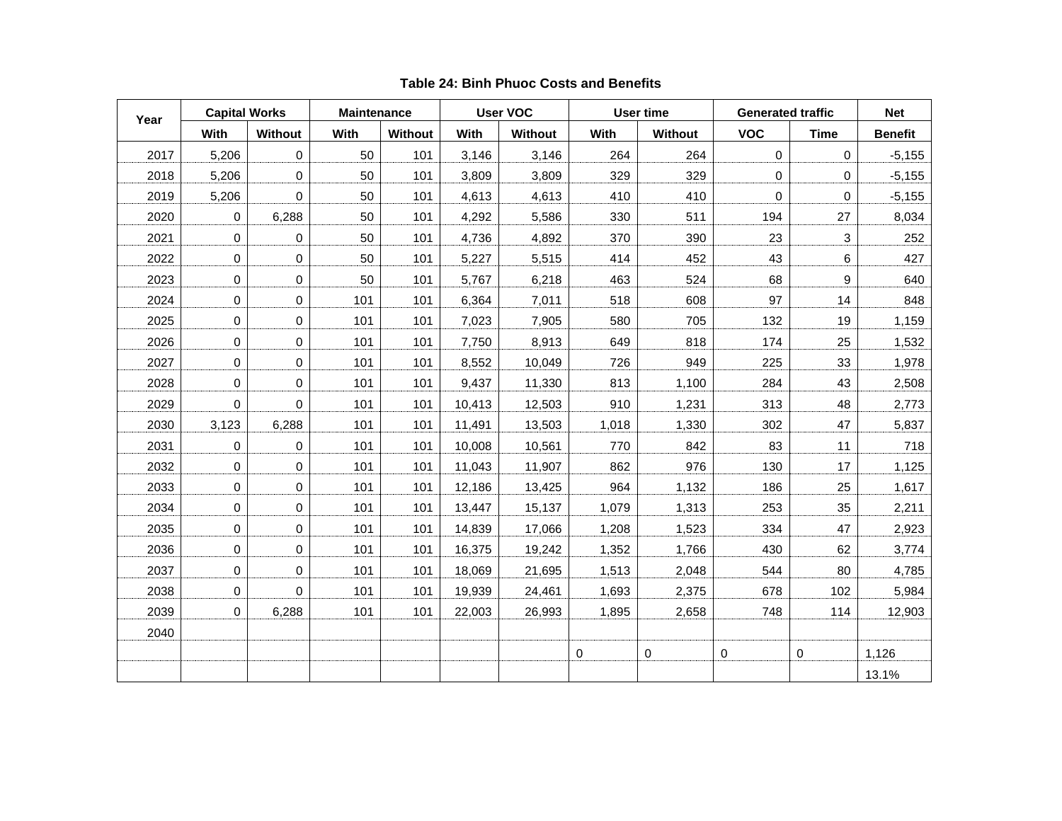| Year | <b>Capital Works</b> |                | <b>Maintenance</b> |                |        | <b>User VOC</b> |       | User time   | <b>Generated traffic</b> |             | <b>Net</b>     |
|------|----------------------|----------------|--------------------|----------------|--------|-----------------|-------|-------------|--------------------------|-------------|----------------|
|      | With                 | <b>Without</b> | With               | <b>Without</b> | With   | Without         | With  | Without     | <b>VOC</b>               | <b>Time</b> | <b>Benefit</b> |
| 2017 | 5,206                | $\Omega$       | 50                 | 101            | 3,146  | 3,146           | 264   | 264         | $\Omega$                 | $\Omega$    | $-5,155$       |
| 2018 | 5,206                | $\mathbf 0$    | 50                 | 101            | 3,809  | 3,809           | 329   | 329         | $\Omega$                 | $\Omega$    | $-5,155$       |
| 2019 | 5,206                | $\mathbf 0$    | 50                 | 101            | 4,613  | 4,613           | 410   | 410         | $\Omega$                 | $\Omega$    | $-5,155$       |
| 2020 | 0                    | 6,288          | 50                 | 101            | 4,292  | 5,586           | 330   | 511         | 194                      | 27          | 8,034          |
| 2021 | 0                    | $\mathbf 0$    | 50                 | 101            | 4,736  | 4,892           | 370   | 390         | 23                       | 3           | 252            |
| 2022 | 0                    | $\mathbf 0$    | 50                 | 101            | 5,227  | 5,515           | 414   | 452         | 43                       | 6           | 427            |
| 2023 | 0                    | $\mathbf 0$    | 50                 | 101            | 5,767  | 6,218           | 463   | 524         | 68                       | 9           | 640            |
| 2024 | 0                    | $\mathbf 0$    | 101                | 101            | 6,364  | 7,011           | 518   | 608         | 97                       | 14          | 848            |
| 2025 | 0                    | 0              | 101                | 101            | 7,023  | 7,905           | 580   | 705         | 132                      | 19          | 1,159          |
| 2026 | 0                    | $\mathbf 0$    | 101                | 101            | 7,750  | 8,913           | 649   | 818         | 174                      | 25          | 1,532          |
| 2027 | 0                    | $\mathbf 0$    | 101                | 101            | 8,552  | 10,049          | 726   | 949         | 225                      | 33          | 1,978          |
| 2028 | 0                    | $\mathbf 0$    | 101                | 101            | 9,437  | 11,330          | 813   | 1,100       | 284                      | 43          | 2,508          |
| 2029 | 0                    | $\Omega$       | 101                | 101            | 10,413 | 12,503          | 910   | 1,231       | 313                      | 48          | 2,773          |
| 2030 | 3,123                | 6,288          | 101                | 101            | 11,491 | 13,503          | 1,018 | 1,330       | 302                      | 47          | 5,837          |
| 2031 | 0                    | 0              | 101                | 101            | 10,008 | 10,561          | 770   | 842         | 83                       | 11          | 718            |
| 2032 | 0                    | 0              | 101                | 101            | 11,043 | 11,907          | 862   | 976         | 130                      | 17          | 1,125          |
| 2033 | 0                    | $\mathbf 0$    | 101                | 101            | 12,186 | 13,425          | 964   | 1,132       | 186                      | 25          | 1,617          |
| 2034 | 0                    | $\mathbf 0$    | 101                | 101            | 13,447 | 15,137          | 1,079 | 1,313       | 253                      | 35          | 2,211          |
| 2035 | 0                    | 0              | 101                | 101            | 14,839 | 17,066          | 1,208 | 1,523       | 334                      | 47          | 2,923          |
| 2036 | 0                    | $\mathbf 0$    | 101                | 101            | 16,375 | 19,242          | 1,352 | 1,766       | 430                      | 62          | 3,774          |
| 2037 | 0                    | $\mathbf 0$    | 101                | 101            | 18,069 | 21,695          | 1,513 | 2,048       | 544                      | 80          | 4,785          |
| 2038 | 0                    | $\Omega$       | 101                | 101            | 19,939 | 24,461          | 1,693 | 2,375       | 678                      | 102         | 5,984          |
| 2039 | 0                    | 6,288          | 101                | 101            | 22,003 | 26,993          | 1,895 | 2,658       | 748                      | 114         | 12,903         |
| 2040 |                      |                |                    |                |        |                 |       |             |                          |             |                |
|      |                      |                |                    |                |        |                 | 0     | $\mathbf 0$ | 0                        | 0           | 1,126          |
|      |                      |                |                    |                |        |                 |       |             |                          |             | 13.1%          |

# **Table 24: Binh Phuoc Costs and Benefits**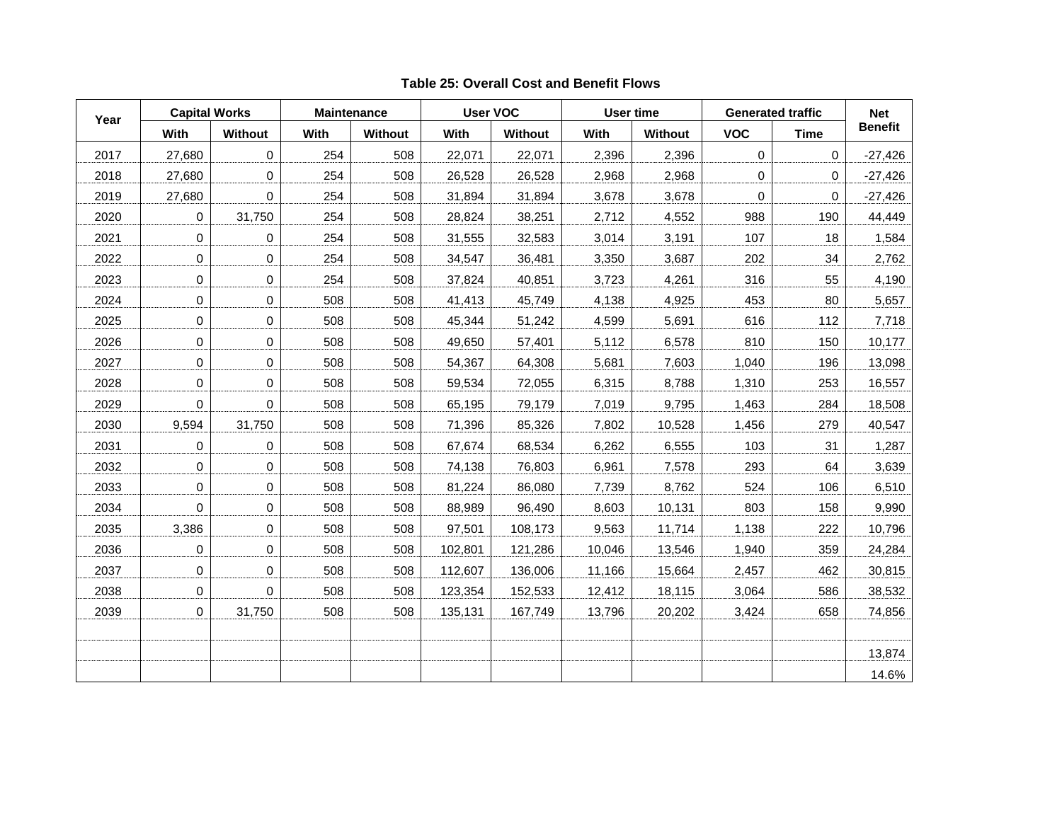| <b>Capital Works</b><br>Year |             |             |      | <b>Maintenance</b> |         | <b>User VOC</b> |        | User time      |             | <b>Generated traffic</b> | <b>Net</b>     |
|------------------------------|-------------|-------------|------|--------------------|---------|-----------------|--------|----------------|-------------|--------------------------|----------------|
|                              | With        | Without     | With | Without            | With    | Without         | With   | <b>Without</b> | <b>VOC</b>  | <b>Time</b>              | <b>Benefit</b> |
| 2017                         | 27,680      | $\mathbf 0$ | 254  | 508                | 22,071  | 22,071          | 2,396  | 2,396          | $\mathbf 0$ | $\Omega$                 | $-27,426$      |
| 2018                         | 27,680      | $\Omega$    | 254  | 508                | 26,528  | 26,528          | 2,968  | 2,968          | $\mathbf 0$ | $\Omega$                 | $-27,426$      |
| 2019                         | 27,680      | $\mathbf 0$ | 254  | 508                | 31,894  | 31,894          | 3,678  | 3,678          | $\mathbf 0$ | $\Omega$                 | $-27,426$      |
| 2020                         | $\mathbf 0$ | 31,750      | 254  | 508                | 28,824  | 38,251          | 2,712  | 4,552          | 988         | 190                      | 44,449         |
| 2021                         | $\mathbf 0$ | 0           | 254  | 508                | 31,555  | 32,583          | 3,014  | 3,191          | 107         | 18                       | 1,584          |
| 2022                         | $\mathbf 0$ | $\mathbf 0$ | 254  | 508                | 34,547  | 36,481          | 3,350  | 3,687          | 202         | 34                       | 2,762          |
| 2023                         | $\pmb{0}$   | $\mathbf 0$ | 254  | 508                | 37,824  | 40,851          | 3,723  | 4,261          | 316         | 55                       | 4,190          |
| 2024                         | $\mathbf 0$ | $\mathbf 0$ | 508  | 508                | 41,413  | 45,749          | 4,138  | 4,925          | 453         | 80                       | 5,657          |
| 2025                         | $\mathsf 0$ | $\mathbf 0$ | 508  | 508                | 45,344  | 51,242          | 4,599  | 5,691          | 616         | 112                      | 7,718          |
| 2026                         | $\mathsf 0$ | $\mathbf 0$ | 508  | 508                | 49,650  | 57,401          | 5,112  | 6,578          | 810         | 150                      | 10,177         |
| 2027                         | 0           | $\mathbf 0$ | 508  | 508                | 54,367  | 64,308          | 5,681  | 7,603          | 1,040       | 196                      | 13,098         |
| 2028                         | $\mathbf 0$ | $\mathbf 0$ | 508  | 508                | 59,534  | 72,055          | 6,315  | 8,788          | 1,310       | 253                      | 16,557         |
| 2029                         | $\mathbf 0$ | $\Omega$    | 508  | 508                | 65,195  | 79,179          | 7,019  | 9,795          | 1,463       | 284                      | 18,508         |
| 2030                         | 9,594       | 31,750      | 508  | 508                | 71,396  | 85,326          | 7,802  | 10,528         | 1,456       | 279                      | 40,547         |
| 2031                         | 0           | 0           | 508  | 508                | 67,674  | 68,534          | 6,262  | 6,555          | 103         | 31                       | 1,287          |
| 2032                         | $\mathbf 0$ | $\mathbf 0$ | 508  | 508                | 74,138  | 76,803          | 6,961  | 7,578          | 293         | 64                       | 3,639          |
| 2033                         | $\mathbf 0$ | $\mathbf 0$ | 508  | 508                | 81,224  | 86,080          | 7,739  | 8,762          | 524         | 106                      | 6,510          |
| 2034                         | $\mathbf 0$ | $\mathbf 0$ | 508  | 508                | 88,989  | 96,490          | 8,603  | 10,131         | 803         | 158                      | 9,990          |
| 2035                         | 3,386       | $\mathbf 0$ | 508  | 508                | 97,501  | 108,173         | 9,563  | 11,714         | 1,138       | 222                      | 10,796         |
| 2036                         | $\mathsf 0$ | $\mathbf 0$ | 508  | 508                | 102,801 | 121,286         | 10,046 | 13,546         | 1,940       | 359                      | 24,284         |
| 2037                         | $\mathbf 0$ | $\mathbf 0$ | 508  | 508                | 112,607 | 136,006         | 11,166 | 15,664         | 2,457       | 462                      | 30,815         |
| 2038                         | $\mathbf 0$ | $\Omega$    | 508  | 508                | 123,354 | 152,533         | 12,412 | 18,115         | 3,064       | 586                      | 38,532         |
| 2039                         | $\mathsf 0$ | 31,750      | 508  | 508                | 135,131 | 167,749         | 13,796 | 20,202         | 3,424       | 658                      | 74,856         |
|                              |             |             |      |                    |         |                 |        |                |             |                          |                |
|                              |             |             |      |                    |         |                 |        |                |             |                          | 13,874         |
|                              |             |             |      |                    |         |                 |        |                |             |                          | 14.6%          |

# **Table 25: Overall Cost and Benefit Flows**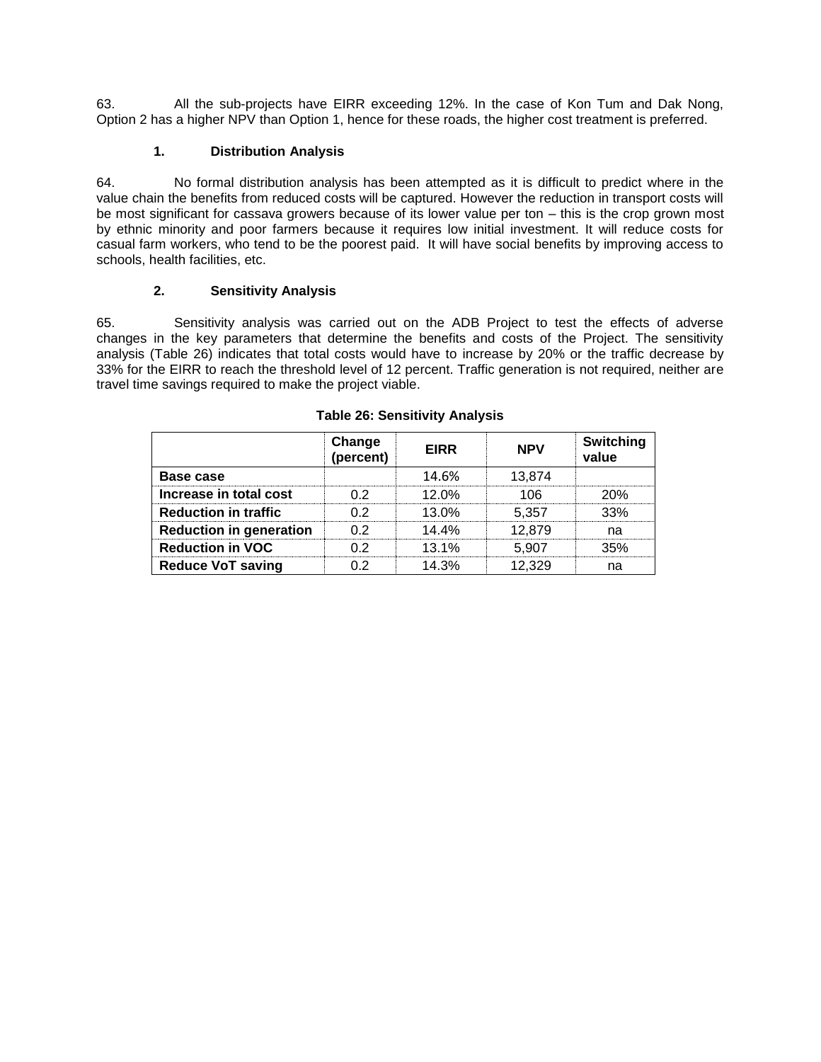63. All the sub-projects have EIRR exceeding 12%. In the case of Kon Tum and Dak Nong, Option 2 has a higher NPV than Option 1, hence for these roads, the higher cost treatment is preferred.

# **1. Distribution Analysis**

64. No formal distribution analysis has been attempted as it is difficult to predict where in the value chain the benefits from reduced costs will be captured. However the reduction in transport costs will be most significant for cassava growers because of its lower value per ton – this is the crop grown most by ethnic minority and poor farmers because it requires low initial investment. It will reduce costs for casual farm workers, who tend to be the poorest paid. It will have social benefits by improving access to schools, health facilities, etc.

# **2. Sensitivity Analysis**

65. Sensitivity analysis was carried out on the ADB Project to test the effects of adverse changes in the key parameters that determine the benefits and costs of the Project. The sensitivity analysis [\(Table 26\)](#page-18-0) indicates that total costs would have to increase by 20% or the traffic decrease by 33% for the EIRR to reach the threshold level of 12 percent. Traffic generation is not required, neither are travel time savings required to make the project viable.

<span id="page-18-0"></span>

|                                | Change<br>(percent) | <b>EIRR</b> | <b>NPV</b> | Switching<br>value |
|--------------------------------|---------------------|-------------|------------|--------------------|
| Base case                      |                     | 14.6%       | 13.874     |                    |
| Increase in total cost         | ስ ጋ                 | 12.0%       | 106        | 20%                |
| <b>Reduction in traffic</b>    | ስ ጋ                 | 13.0%       | 5.357      | 33%                |
| <b>Reduction in generation</b> | ስ ን                 | 14 4%       | 12.879     | nа                 |
| <b>Reduction in VOC</b>        | ר ו                 | $13.1\%$    | 5.907      | 35%                |
| <b>Reduce VoT saving</b>       |                     | $14.3\%$    |            | na                 |

## **Table 26: Sensitivity Analysis**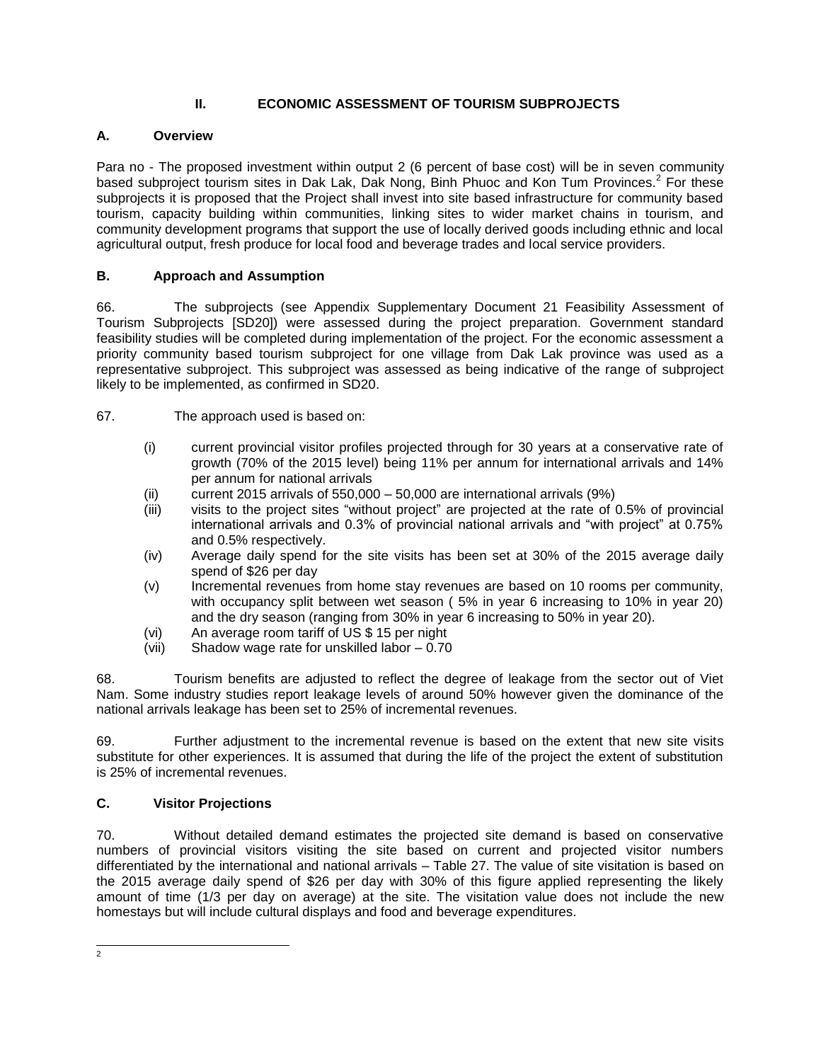# **II. ECONOMIC ASSESSMENT OF TOURISM SUBPROJECTS**

# **A. Overview**

Para no - The proposed investment within output 2 (6 percent of base cost) will be in seven community based subproject tourism sites in Dak Lak, Dak Nong, Binh Phuoc and Kon Tum Provinces.<sup>2</sup> For these subprojects it is proposed that the Project shall invest into site based infrastructure for community based tourism, capacity building within communities, linking sites to wider market chains in tourism, and community development programs that support the use of locally derived goods including ethnic and local agricultural output, fresh produce for local food and beverage trades and local service providers.

# **B. Approach and Assumption**

66. The subprojects (see Appendix Supplementary Document 21 Feasibility Assessment of Tourism Subprojects [SD20]) were assessed during the project preparation. Government standard feasibility studies will be completed during implementation of the project. For the economic assessment a priority community based tourism subproject for one village from Dak Lak province was used as a representative subproject. This subproject was assessed as being indicative of the range of subproject likely to be implemented, as confirmed in SD20.

67. The approach used is based on:

- (i) current provincial visitor profiles projected through for 30 years at a conservative rate of growth (70% of the 2015 level) being 11% per annum for international arrivals and 14% per annum for national arrivals
- (ii) current 2015 arrivals of 550,000 50,000 are international arrivals (9%)
- (iii) visits to the project sites "without project" are projected at the rate of 0.5% of provincial international arrivals and 0.3% of provincial national arrivals and "with project" at 0.75% and 0.5% respectively.
- (iv) Average daily spend for the site visits has been set at 30% of the 2015 average daily spend of \$26 per day
- (v) Incremental revenues from home stay revenues are based on 10 rooms per community, with occupancy split between wet season ( 5% in year 6 increasing to 10% in year 20) and the dry season (ranging from 30% in year 6 increasing to 50% in year 20).
- (vi) An average room tariff of US \$ 15 per night
- (vii) Shadow wage rate for unskilled labor 0.70

68. Tourism benefits are adjusted to reflect the degree of leakage from the sector out of Viet Nam. Some industry studies report leakage levels of around 50% however given the dominance of the national arrivals leakage has been set to 25% of incremental revenues.

69. Further adjustment to the incremental revenue is based on the extent that new site visits substitute for other experiences. It is assumed that during the life of the project the extent of substitution is 25% of incremental revenues.

# **C. Visitor Projections**

70. Without detailed demand estimates the projected site demand is based on conservative numbers of provincial visitors visiting the site based on current and projected visitor numbers differentiated by the international and national arrivals – Table 27. The value of site visitation is based on the 2015 average daily spend of \$26 per day with 30% of this figure applied representing the likely amount of time (1/3 per day on average) at the site. The visitation value does not include the new homestays but will include cultural displays and food and beverage expenditures.

<sup>2</sup>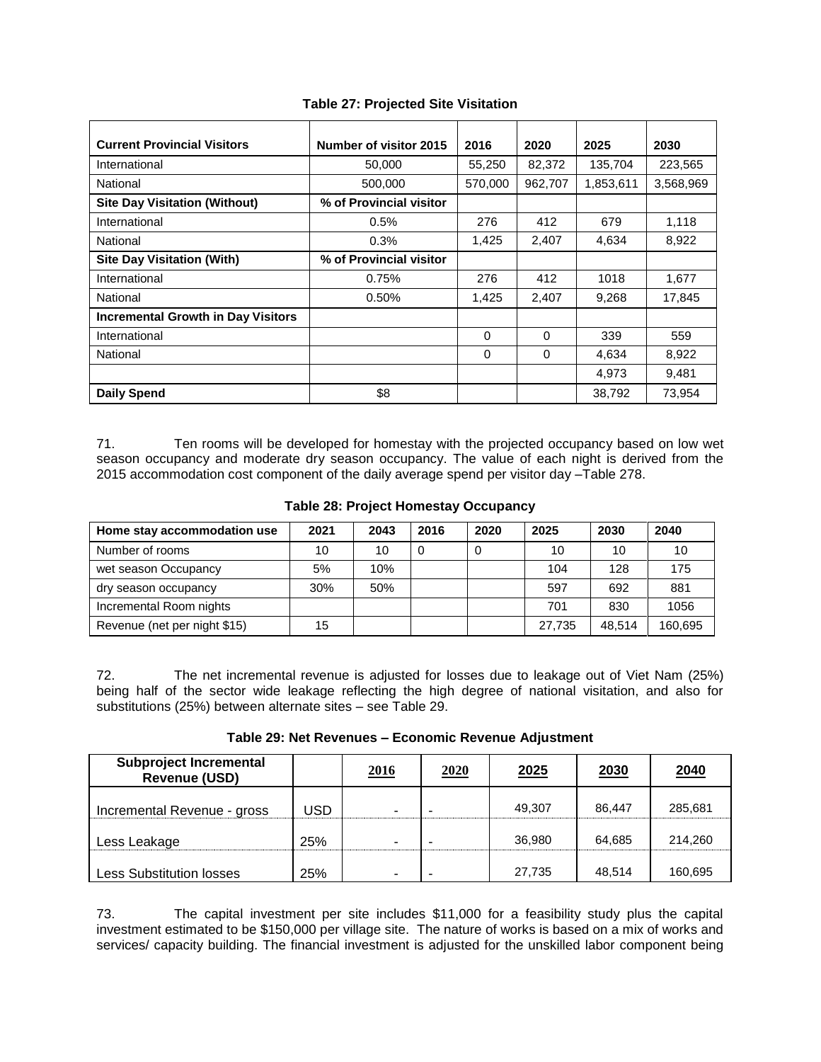<span id="page-20-0"></span>

| <b>Current Provincial Visitors</b>        | Number of visitor 2015  | 2016     | 2020     | 2025      | 2030      |
|-------------------------------------------|-------------------------|----------|----------|-----------|-----------|
| International                             | 50,000                  | 55,250   | 82,372   | 135,704   | 223,565   |
| National                                  | 500,000                 | 570,000  | 962,707  | 1,853,611 | 3,568,969 |
| <b>Site Day Visitation (Without)</b>      | % of Provincial visitor |          |          |           |           |
| International                             | 0.5%                    | 276      | 412      | 679       | 1,118     |
| National                                  | 0.3%                    | 1,425    | 2,407    | 4,634     | 8.922     |
| <b>Site Day Visitation (With)</b>         | % of Provincial visitor |          |          |           |           |
| International                             | 0.75%                   | 276      | 412      | 1018      | 1,677     |
| National                                  | 0.50%                   | 1,425    | 2,407    | 9,268     | 17,845    |
| <b>Incremental Growth in Day Visitors</b> |                         |          |          |           |           |
| International                             |                         | $\Omega$ | $\Omega$ | 339       | 559       |
| National                                  |                         | 0        | $\Omega$ | 4,634     | 8,922     |
|                                           |                         |          |          | 4,973     | 9,481     |
| <b>Daily Spend</b>                        | \$8                     |          |          | 38,792    | 73,954    |

# **Table 27: Projected Site Visitation**

71. Ten rooms will be developed for homestay with the projected occupancy based on low wet season occupancy and moderate dry season occupancy. The value of each night is derived from the 2015 accommodation cost component of the daily average spend per visitor day [–Table 278](#page-20-0).

#### **Table 28: Project Homestay Occupancy**

| Home stay accommodation use  | 2021 | 2043 | 2016 | 2020 | 2025   | 2030   | 2040    |
|------------------------------|------|------|------|------|--------|--------|---------|
| Number of rooms              | 10   | 10   | 0    | 0    | 10     | 10     | 10      |
| wet season Occupancy         | 5%   | 10%  |      |      | 104    | 128    | 175     |
| dry season occupancy         | 30%  | 50%  |      |      | 597    | 692    | 881     |
| Incremental Room nights      |      |      |      |      | 701    | 830    | 1056    |
| Revenue (net per night \$15) | 15   |      |      |      | 27.735 | 48.514 | 160,695 |

72. The net incremental revenue is adjusted for losses due to leakage out of Viet Nam (25%) being half of the sector wide leakage reflecting the high degree of national visitation, and also for substitutions (25%) between alternate sites – see [Table 29.](#page-20-1)

| Table 29: Net Revenues - Economic Revenue Adjustment |  |
|------------------------------------------------------|--|
|------------------------------------------------------|--|

<span id="page-20-1"></span>

| <b>Subproject Incremental</b><br><b>Revenue (USD)</b> |     | <u>2016</u> | 2020 | 2025   | 2030   | 2040    |
|-------------------------------------------------------|-----|-------------|------|--------|--------|---------|
| Incremental Revenue - gross                           | USD |             |      | 49,307 | 86.447 | 285,681 |
| Less Leakage                                          | 25% |             |      | 36,980 | 64.685 | 214,260 |
| <b>Less Substitution losses</b>                       | 25% |             |      | 27,735 | 48.514 | 160.695 |

73. The capital investment per site includes \$11,000 for a feasibility study plus the capital investment estimated to be \$150,000 per village site. The nature of works is based on a mix of works and services/ capacity building. The financial investment is adjusted for the unskilled labor component being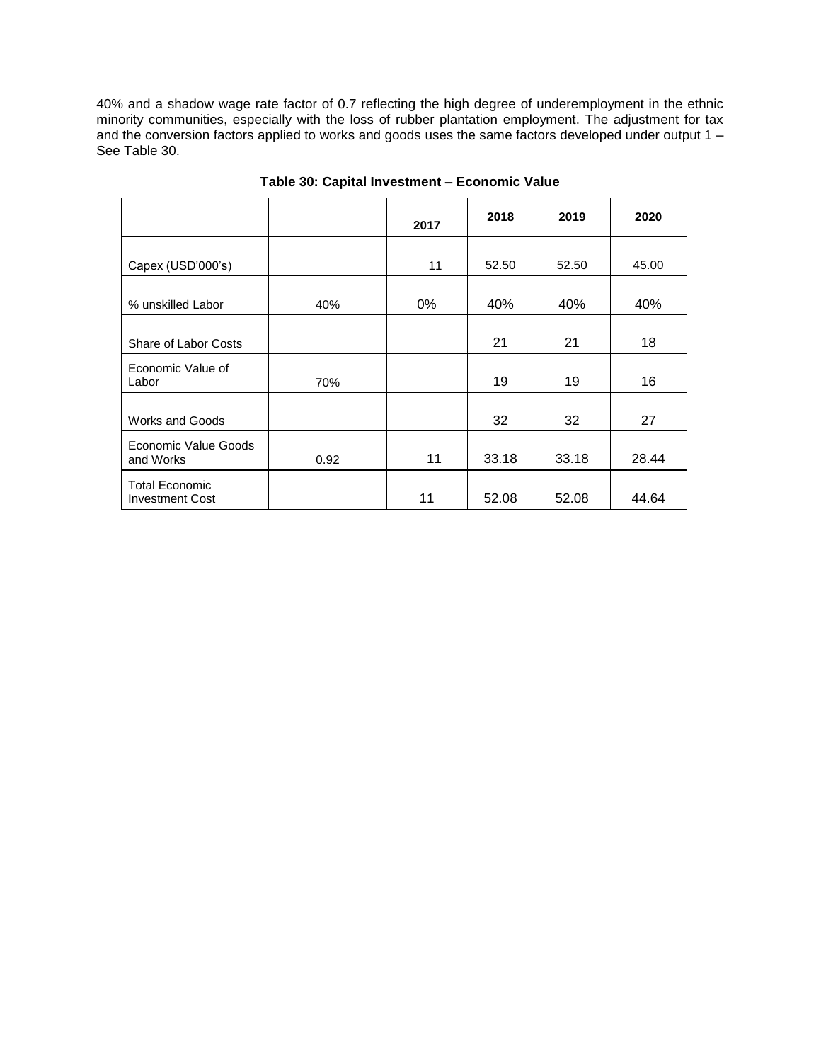40% and a shadow wage rate factor of 0.7 reflecting the high degree of underemployment in the ethnic minority communities, especially with the loss of rubber plantation employment. The adjustment for tax and the conversion factors applied to works and goods uses the same factors developed under output 1 – See [Table 30.](#page-21-0)

<span id="page-21-0"></span>

|                                                 |      | 2017 | 2018  | 2019  | 2020  |
|-------------------------------------------------|------|------|-------|-------|-------|
| Capex (USD'000's)                               |      | 11   | 52.50 | 52.50 | 45.00 |
| % unskilled Labor                               | 40%  | 0%   | 40%   | 40%   | 40%   |
| Share of Labor Costs                            |      |      | 21    | 21    | 18    |
| Economic Value of<br>Labor                      | 70%  |      | 19    | 19    | 16    |
| <b>Works and Goods</b>                          |      |      | 32    | 32    | 27    |
| Economic Value Goods<br>and Works               | 0.92 | 11   | 33.18 | 33.18 | 28.44 |
| <b>Total Economic</b><br><b>Investment Cost</b> |      | 11   | 52.08 | 52.08 | 44.64 |

**Table 30: Capital Investment – Economic Value**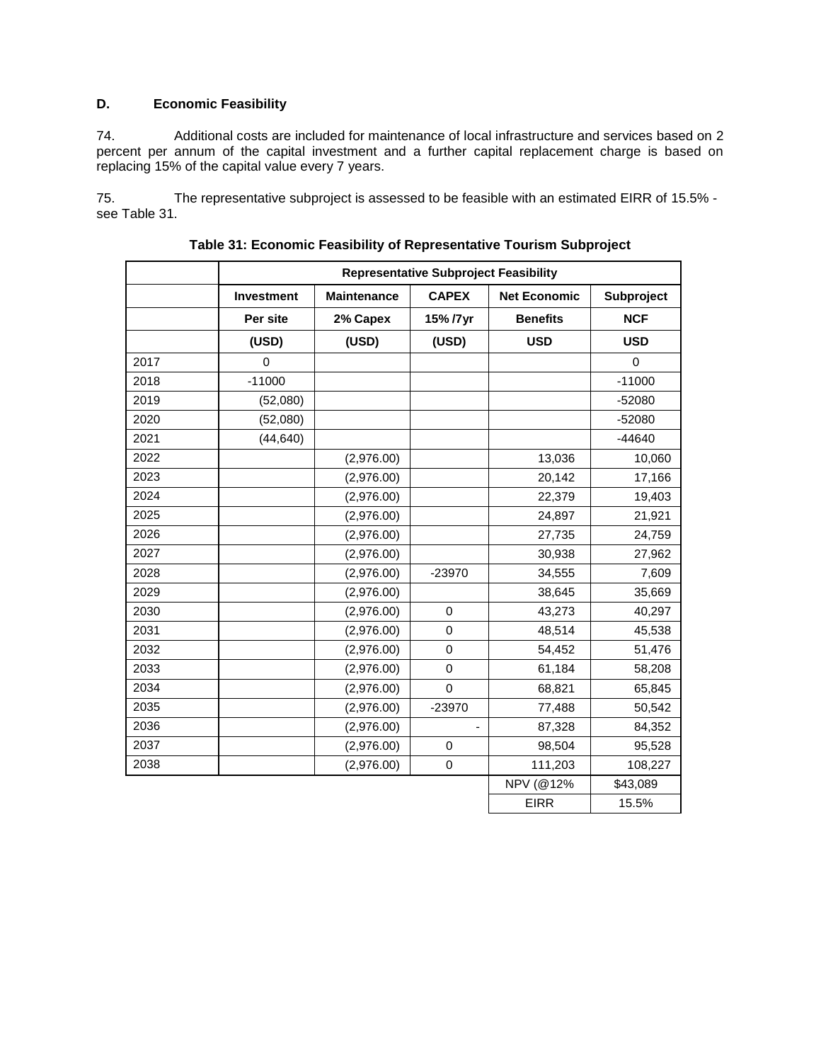# **D. Economic Feasibility**

74. Additional costs are included for maintenance of local infrastructure and services based on 2 percent per annum of the capital investment and a further capital replacement charge is based on replacing 15% of the capital value every 7 years.

75. The representative subproject is assessed to be feasible with an estimated EIRR of 15.5% see [Table 31.](#page-22-0)

<span id="page-22-0"></span>

|      |            |                    | <b>Representative Subproject Feasibility</b> |                     |             |
|------|------------|--------------------|----------------------------------------------|---------------------|-------------|
|      | Investment | <b>Maintenance</b> | <b>CAPEX</b>                                 | <b>Net Economic</b> | Subproject  |
|      | Per site   | 2% Capex           | 15%/7yr                                      | <b>Benefits</b>     | <b>NCF</b>  |
|      | (USD)      | (USD)              | (USD)                                        | <b>USD</b>          | <b>USD</b>  |
| 2017 | $\Omega$   |                    |                                              |                     | $\mathbf 0$ |
| 2018 | $-11000$   |                    |                                              |                     | $-11000$    |
| 2019 | (52,080)   |                    |                                              |                     | $-52080$    |
| 2020 | (52,080)   |                    |                                              |                     | $-52080$    |
| 2021 | (44, 640)  |                    |                                              |                     | $-44640$    |
| 2022 |            | (2,976.00)         |                                              | 13,036              | 10,060      |
| 2023 |            | (2,976.00)         |                                              | 20,142              | 17,166      |
| 2024 |            | (2,976.00)         |                                              | 22,379              | 19,403      |
| 2025 |            | (2,976.00)         |                                              | 24,897              | 21,921      |
| 2026 |            | (2,976.00)         |                                              | 27,735              | 24,759      |
| 2027 |            | (2,976.00)         |                                              | 30,938              | 27,962      |
| 2028 |            | (2,976.00)         | $-23970$                                     | 34,555              | 7,609       |
| 2029 |            | (2,976.00)         |                                              | 38,645              | 35,669      |
| 2030 |            | (2,976.00)         | $\mathbf 0$                                  | 43,273              | 40,297      |
| 2031 |            | (2,976.00)         | $\mathbf 0$                                  | 48,514              | 45,538      |
| 2032 |            | (2,976.00)         | $\Omega$                                     | 54,452              | 51,476      |
| 2033 |            | (2,976.00)         | 0                                            | 61,184              | 58,208      |
| 2034 |            | (2,976.00)         | $\Omega$                                     | 68,821              | 65,845      |
| 2035 |            | (2,976.00)         | $-23970$                                     | 77,488              | 50,542      |
| 2036 |            | (2,976.00)         |                                              | 87,328              | 84,352      |
| 2037 |            | (2,976.00)         | $\mathbf 0$                                  | 98,504              | 95,528      |
| 2038 |            | (2,976.00)         | $\mathbf 0$                                  | 111,203             | 108,227     |
|      |            |                    |                                              | NPV (@12%           | \$43,089    |
|      |            |                    |                                              | <b>EIRR</b>         | 15.5%       |

**Table 31: Economic Feasibility of Representative Tourism Subproject**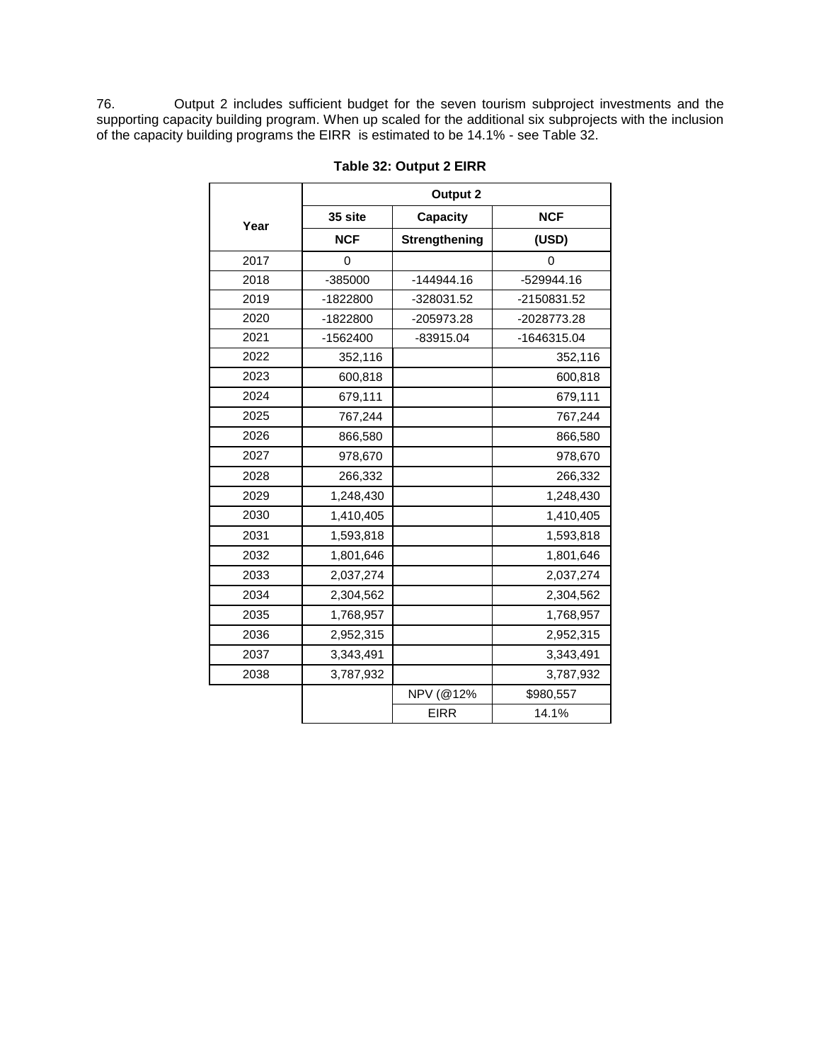<span id="page-23-0"></span>76. Output 2 includes sufficient budget for the seven tourism subproject investments and the supporting capacity building program. When up scaled for the additional six subprojects with the inclusion of the capacity building programs the EIRR is estimated to be 14.1% - see [Table 32.](#page-23-0)

|      | <b>Output 2</b> |                 |             |  |  |  |  |  |
|------|-----------------|-----------------|-------------|--|--|--|--|--|
| Year | 35 site         | <b>Capacity</b> | <b>NCF</b>  |  |  |  |  |  |
|      | <b>NCF</b>      | Strengthening   | (USD)       |  |  |  |  |  |
| 2017 | $\Omega$        |                 | $\Omega$    |  |  |  |  |  |
| 2018 | -385000         | -144944.16      | -529944.16  |  |  |  |  |  |
| 2019 | -1822800        | -328031.52      | -2150831.52 |  |  |  |  |  |
| 2020 | -1822800        | -205973.28      | -2028773.28 |  |  |  |  |  |
| 2021 | -1562400        | $-83915.04$     | -1646315.04 |  |  |  |  |  |
| 2022 | 352,116         |                 | 352,116     |  |  |  |  |  |
| 2023 | 600,818         |                 | 600,818     |  |  |  |  |  |
| 2024 | 679,111         |                 | 679,111     |  |  |  |  |  |
| 2025 | 767,244         |                 | 767,244     |  |  |  |  |  |
| 2026 | 866,580         |                 | 866,580     |  |  |  |  |  |
| 2027 | 978,670         |                 | 978,670     |  |  |  |  |  |
| 2028 | 266,332         |                 | 266,332     |  |  |  |  |  |
| 2029 | 1,248,430       |                 | 1,248,430   |  |  |  |  |  |
| 2030 | 1,410,405       |                 | 1,410,405   |  |  |  |  |  |
| 2031 | 1,593,818       |                 | 1,593,818   |  |  |  |  |  |
| 2032 | 1,801,646       |                 | 1,801,646   |  |  |  |  |  |
| 2033 | 2,037,274       |                 | 2,037,274   |  |  |  |  |  |
| 2034 | 2,304,562       |                 | 2,304,562   |  |  |  |  |  |
| 2035 | 1,768,957       |                 | 1,768,957   |  |  |  |  |  |
| 2036 | 2,952,315       |                 | 2,952,315   |  |  |  |  |  |
| 2037 | 3,343,491       |                 | 3,343,491   |  |  |  |  |  |
| 2038 | 3,787,932       |                 | 3,787,932   |  |  |  |  |  |
|      |                 | NPV (@12%       | \$980,557   |  |  |  |  |  |
|      |                 | <b>EIRR</b>     | 14.1%       |  |  |  |  |  |

# **Table 32: Output 2 EIRR**